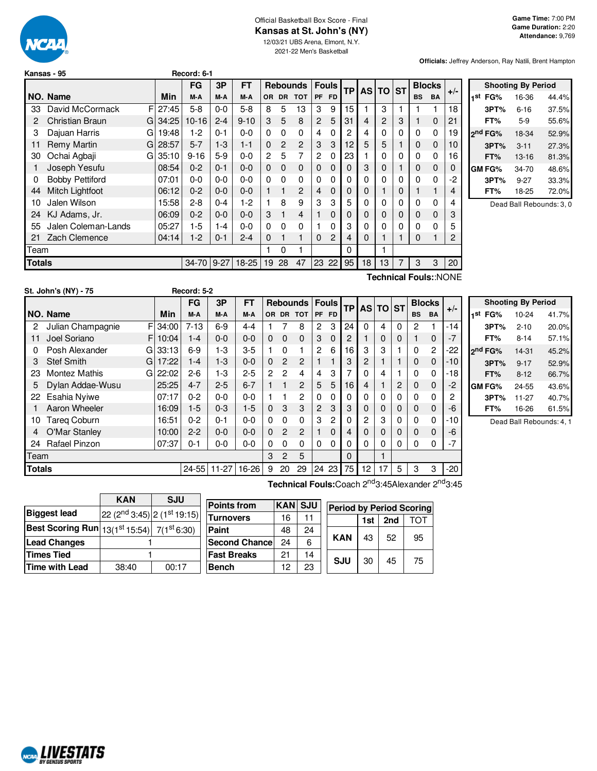

# Official Basketball Box Score - Final **Kansas at St. John's (NY)**

12/03/21 UBS Arena, Elmont, N.Y. 2021-22 Men's Basketball

**Officials:** Jeffrey Anderson, Ray Natili, Brent Hampton

|        | Record: 6-1<br>Kansas - 95 |   |         |            |         |           |                |              |                 |           |              |           |           |                |           |               |             |       |
|--------|----------------------------|---|---------|------------|---------|-----------|----------------|--------------|-----------------|-----------|--------------|-----------|-----------|----------------|-----------|---------------|-------------|-------|
|        |                            |   |         | FG         | 3P      | FT        |                |              | <b>Rebounds</b> |           | <b>Fouls</b> | <b>TP</b> | <b>AS</b> | <b>TO</b>      | <b>ST</b> | <b>Blocks</b> |             | $+/-$ |
|        | NO. Name                   |   | Min     | M-A        | M-A     | M-A       | OR.            | <b>DR</b>    | <b>TOT</b>      | <b>PF</b> | FD.          |           |           |                |           | <b>BS</b>     | <b>BA</b>   |       |
| 33     | David McCormack            | F | 27:45   | $5 - 8$    | $0-0$   | $5-8$     | 8              | 5            | 13              | 3         | 9            | 15        |           | 3              |           |               |             | 18    |
| 2      | <b>Christian Braun</b>     |   | G134:25 | $10 - 16$  | $2 - 4$ | $9 - 10$  | 3              | 5            | 8               | 2         | 5            | 31        | 4         | $\overline{c}$ | 3         |               | $\mathbf 0$ | 21    |
| 3      | Dajuan Harris              | G | 19:48   | $1-2$      | $0 - 1$ | $0 - 0$   | 0              | 0            | 0               | 4         | 0            | 2         | 4         | 0              | 0         | 0             | 0           | 19    |
| 11     | <b>Remy Martin</b>         | G | 28:57   | $5 - 7$    | $1 - 3$ | $1 - 1$   | 0              | 2            | 2               | 3         | 3            | 12        | 5         | 5              |           | 0             | 0           | 10    |
| 30     | Ochai Agbaji               | G | 35:10   | $9 - 16$   | $5-9$   | $0 - 0$   | $\overline{c}$ | 5            | 7               | 2         | 0            | 23        |           | 0              | 0         | 0             | 0           | 16    |
|        | Joseph Yesufu              |   | 08:54   | $0 - 2$    | $0 - 1$ | $0 - 0$   | $\Omega$       | $\Omega$     | 0               | 0         | 0            | $\Omega$  | 3         | 0              |           | 0             | 0           | 0     |
| 0      | <b>Bobby Pettiford</b>     |   | 07:01   | $0-0$      | 0-0     | $0 - 0$   | $\Omega$       | $\mathbf{0}$ | 0               | 0         | 0            | 0         | 0         | 0              | 0         | $\Omega$      | 0           | -2    |
| 44     | Mitch Lightfoot            |   | 06:12   | $0 - 2$    | $0 - 0$ | $0 - 0$   |                |              | $\overline{2}$  | 4         | 0            | 0         | 0         |                | 0         |               |             | 4     |
| 10     | Jalen Wilson               |   | 15:58   | $2 - 8$    | $0 - 4$ | $1-2$     |                | 8            | 9               | 3         | 3            | 5         | 0         | 0              | 0         | 0             | 0           | 4     |
| 24     | KJ Adams, Jr.              |   | 06:09   | $0 - 2$    | $0 - 0$ | $0 - 0$   | 3              |              | 4               |           | 0            | 0         | 0         | 0              | 0         | 0             | $\Omega$    | 3     |
| 55     | Jalen Coleman-Lands        |   | 05:27   | $1-5$      | $1 - 4$ | $0 - 0$   | $\Omega$       | 0            | 0               |           | 0            | 3         | 0         | 0              | 0         | 0             | 0           | 5     |
| 21     | Zach Clemence              |   | 04:14   | $1-2$      | $0 - 1$ | $2 - 4$   | 0              |              | 1               | 0         | 2            | 4         | 0         | 1              |           | 0             |             | 2     |
| Team   |                            |   |         |            |         |           |                | 0            |                 |           |              | 0         |           |                |           |               |             |       |
| Totals |                            |   |         | 34-70 9-27 |         | $18 - 25$ | 19             | 28           | 47              | 23        | 22           | 95        | 18        | 13             | 7         | 3             | 3           | 20    |
|        | Technical Fouls::NONE      |   |         |            |         |           |                |              |                 |           |              |           |           |                |           |               |             |       |

**Shooting By Period 1 st FG%** 16-36 44.4% **3PT%** 6-16 37.5% **FT%** 5-9 55.6% **2 nd FG%** 18-34 52.9% **3PT%** 3-11 27.3% **FT%** 13-16 81.3% **GM FG%** 34-70 48.6% **3PT%** 9-27 33.3% **FT%** 18-25 72.0%

Dead Ball Rebounds: 3, 0

|               | St. John's (NY) - 75 |    |          | Record: 5-2 |         |           |                |                |                           |                |              |           |              |          |          |           |                |                |  |
|---------------|----------------------|----|----------|-------------|---------|-----------|----------------|----------------|---------------------------|----------------|--------------|-----------|--------------|----------|----------|-----------|----------------|----------------|--|
|               |                      |    |          | FG          | 3P      | <b>FT</b> |                |                | <b>Rebounds   Fouls  </b> |                |              | <b>TP</b> | AS TO ST     |          |          |           | <b>Blocks</b>  |                |  |
|               | NO. Name             |    | Min      | M-A         | M-A     | M-A       | OR.            | <b>DR</b>      | <b>TOT</b>                | <b>PF</b>      | <b>FD</b>    |           |              |          |          | <b>BS</b> | <b>BA</b>      | $+/-$          |  |
| 2             | Julian Champagnie    | FI | 34:00    | $7 - 13$    | $6-9$   | $4 - 4$   |                |                | 8                         | 2              | 3            | 24        | $\mathbf{0}$ | 4        | 0        | 2         |                | $-14$          |  |
| 11            | Joel Soriano         | FI | 10:04    | $1 - 4$     | $0 - 0$ | $0 - 0$   | $\Omega$       | $\Omega$       | $\Omega$                  | 3              | $\Omega$     | 2         |              | 0        | 0        |           | $\mathbf{0}$   | $-7$           |  |
| 0             | Posh Alexander       | Gl | 33:13    | $6-9$       | $1-3$   | $3-5$     |                | 0              |                           | $\overline{c}$ | 6            | 16        | 3            | 3        |          | 0         | $\overline{2}$ | $-22$          |  |
| 3             | <b>Stef Smith</b>    | GI | 17:22    | $1 - 4$     | $1-3$   | $0 - 0$   | $\Omega$       | $\mathcal{P}$  | 2                         |                |              | 3         | 2            |          |          | 0         | $\Omega$       | $-10$          |  |
| 23            | Montez Mathis        |    | GI 22:02 | $2-6$       | $1-3$   | $2 - 5$   | $\overline{2}$ | 2              | 4                         | 4              | 3            |           | $\Omega$     | 4        |          | 0         | 0              | $-18$          |  |
| 5             | Dylan Addae-Wusu     |    | 25:25    | $4 - 7$     | $2 - 5$ | $6 - 7$   |                | 1              | 2                         | 5              | 5            | 16        | 4            |          | 2        | 0         | $\Omega$       | $-2$           |  |
| 22            | Esahia Nyiwe         |    | 07:17    | $0 - 2$     | $0 - 0$ | $0 - 0$   |                |                | $\overline{2}$            | 0              | 0            | 0         | $\Omega$     | 0        | $\Omega$ | 0         | $\mathbf{0}$   | $\overline{c}$ |  |
|               | Aaron Wheeler        |    | 16:09    | $1-5$       | $0 - 3$ | $1-5$     | $\Omega$       | 3              | 3                         | $\overline{2}$ | 3            | 3         | $\mathbf 0$  | 0        | $\Omega$ | 0         | $\mathbf 0$    | -6             |  |
| 10            | <b>Tareg Coburn</b>  |    | 16:51    | $0 - 2$     | $0 - 1$ | $0 - 0$   | $\Omega$       | $\Omega$       | $\Omega$                  | 3              | 2            | 0         | $\mathbf{2}$ | 3        | 0        | 0         | 0              | $-10$          |  |
| 4             | O'Mar Stanley        |    | 10:00    | $2 - 2$     | $0 - 0$ | $0 - 0$   | $\Omega$       | $\mathcal{P}$  | $\mathcal{P}$             |                | <sup>0</sup> | 4         | $\Omega$     | $\Omega$ | 0        | 0         | $\Omega$       | -6             |  |
| 24            | Rafael Pinzon        |    | 07:37    | $0 - 1$     | $0 - 0$ | $0 - 0$   | 0              | 0              | $\Omega$                  | $\Omega$       | 0            | 0         | $\Omega$     | 0        | 0        | 0         | $\Omega$       | $-7$           |  |
| Team          |                      |    |          |             |         |           | 3              | $\overline{2}$ | 5                         |                |              | $\Omega$  |              | 1        |          |           |                |                |  |
| <b>Totals</b> |                      |    |          | $24 - 55$   | $11-27$ | 16-26     | 9              | 20             | 29                        | 24             | 23           | 75        | 12           | 17       | 5        | 3         | 3              | -20            |  |

**Shooting By Period 1 st FG%** 10-24 41.7% **3PT%** 2-10 20.0% **FT%** 8-14 57.1% **2 nd FG%** 14-31 45.2% **3PT%** 9-17 52.9% **FT%** 8-12 66.7% **GM FG%** 24-55 43.6% **3PT%** 11-27 40.7% **FT%** 16-26 61.5%

Dead Ball Rebounds: 4, 1

**Technical Fouls:**Coach 2 nd3:45Alexander 2 nd3:45

|                                                      | <b>KAN</b>                         | <b>SJU</b> |  |  |  |  |
|------------------------------------------------------|------------------------------------|------------|--|--|--|--|
| <b>Biggest lead</b>                                  | $ 22 (2^{nd} 3:45)  2 (1st 19:15)$ |            |  |  |  |  |
| Best Scoring Run $13(1^{st}15.54)$ 7( $1^{st}6.30$ ) |                                    |            |  |  |  |  |
| <b>Lead Changes</b>                                  |                                    |            |  |  |  |  |
| <b>Times Tied</b>                                    |                                    |            |  |  |  |  |
| <b>Time with Lead</b>                                | 38:40                              | 00:17      |  |  |  |  |

| Points from           | <b>KAN SJU</b> |    | <b>Period by Period Scoring</b> |            |     |     |     |  |  |
|-----------------------|----------------|----|---------------------------------|------------|-----|-----|-----|--|--|
| <b>Turnovers</b>      | 16             |    |                                 |            | 1st | 2nd | ומד |  |  |
| Paint                 | 48             | 24 |                                 |            |     |     |     |  |  |
| <b>Second Chancel</b> | 24             | 6  |                                 | <b>KAN</b> | 43  | 52  | 95  |  |  |
| <b>Fast Breaks</b>    | 21             | 14 |                                 | SJU        | 30  | 45  | 75  |  |  |
| <b>Bench</b>          | 12             | 23 |                                 |            |     |     |     |  |  |

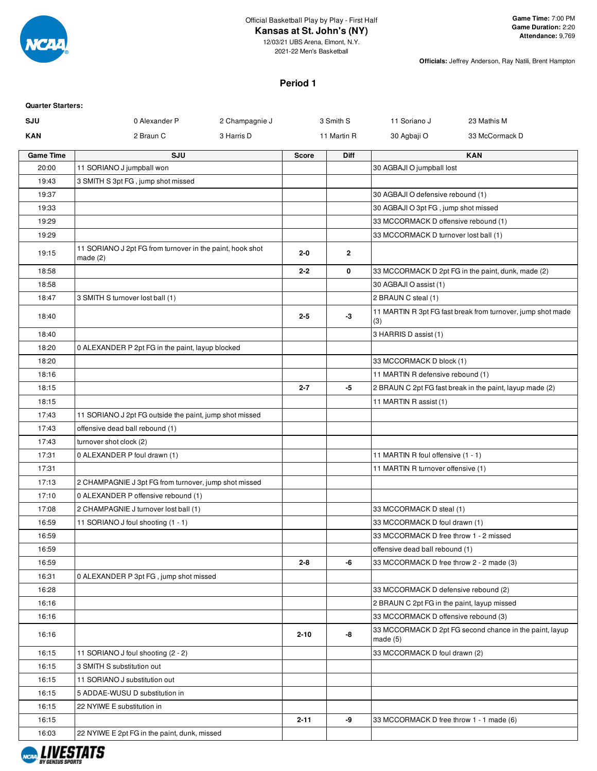

12/03/21 UBS Arena, Elmont, N.Y. 2021-22 Men's Basketball

**Officials:** Jeffrey Anderson, Ray Natili, Brent Hampton

#### **Period 1**

| <b>Quarter Starters:</b> |                                                                      |                |              |              |                                             |                                                             |
|--------------------------|----------------------------------------------------------------------|----------------|--------------|--------------|---------------------------------------------|-------------------------------------------------------------|
| SJU                      | 0 Alexander P                                                        | 2 Champagnie J |              | 3 Smith S    | 11 Soriano J                                | 23 Mathis M                                                 |
| <b>KAN</b>               | 2 Braun C                                                            | 3 Harris D     |              | 11 Martin R  | 30 Agbaji O                                 | 33 McCormack D                                              |
| <b>Game Time</b>         | SJU                                                                  |                | <b>Score</b> | Diff         |                                             | <b>KAN</b>                                                  |
| 20:00                    | 11 SORIANO J jumpball won                                            |                |              |              | 30 AGBAJI O jumpball lost                   |                                                             |
| 19:43                    | 3 SMITH S 3pt FG, jump shot missed                                   |                |              |              |                                             |                                                             |
| 19:37                    |                                                                      |                |              |              | 30 AGBAJI O defensive rebound (1)           |                                                             |
| 19:33                    |                                                                      |                |              |              | 30 AGBAJI O 3pt FG, jump shot missed        |                                                             |
| 19:29                    |                                                                      |                |              |              | 33 MCCORMACK D offensive rebound (1)        |                                                             |
| 19:29                    |                                                                      |                |              |              | 33 MCCORMACK D turnover lost ball (1)       |                                                             |
| 19:15                    | 11 SORIANO J 2pt FG from turnover in the paint, hook shot<br>made(2) |                | $2 - 0$      | $\mathbf{2}$ |                                             |                                                             |
| 18:58                    |                                                                      |                | $2 - 2$      | 0            |                                             | 33 MCCORMACK D 2pt FG in the paint, dunk, made (2)          |
| 18:58                    |                                                                      |                |              |              | 30 AGBAJI O assist (1)                      |                                                             |
| 18:47                    | 3 SMITH S turnover lost ball (1)                                     |                |              |              | 2 BRAUN C steal (1)                         |                                                             |
| 18:40                    |                                                                      |                | $2 - 5$      | -3           | (3)                                         | 11 MARTIN R 3pt FG fast break from turnover, jump shot made |
| 18:40                    |                                                                      |                |              |              | 3 HARRIS D assist (1)                       |                                                             |
| 18:20                    | 0 ALEXANDER P 2pt FG in the paint, layup blocked                     |                |              |              |                                             |                                                             |
| 18:20                    |                                                                      |                |              |              | 33 MCCORMACK D block (1)                    |                                                             |
| 18:16                    |                                                                      |                |              |              | 11 MARTIN R defensive rebound (1)           |                                                             |
| 18:15                    |                                                                      |                | $2 - 7$      | $-5$         |                                             | 2 BRAUN C 2pt FG fast break in the paint, layup made (2)    |
| 18:15                    |                                                                      |                |              |              | 11 MARTIN R assist (1)                      |                                                             |
| 17:43                    | 11 SORIANO J 2pt FG outside the paint, jump shot missed              |                |              |              |                                             |                                                             |
| 17:43                    | offensive dead ball rebound (1)                                      |                |              |              |                                             |                                                             |
| 17:43                    | turnover shot clock (2)                                              |                |              |              |                                             |                                                             |
| 17:31                    | 0 ALEXANDER P foul drawn (1)                                         |                |              |              | 11 MARTIN R foul offensive (1 - 1)          |                                                             |
| 17:31                    |                                                                      |                |              |              | 11 MARTIN R turnover offensive (1)          |                                                             |
| 17:13                    | 2 CHAMPAGNIE J 3pt FG from turnover, jump shot missed                |                |              |              |                                             |                                                             |
| 17:10                    | 0 ALEXANDER P offensive rebound (1)                                  |                |              |              |                                             |                                                             |
| 17:08                    | 2 CHAMPAGNIE J turnover lost ball (1)                                |                |              |              | 33 MCCORMACK D steal (1)                    |                                                             |
| 16:59                    | 11 SORIANO J foul shooting (1 - 1)                                   |                |              |              | 33 MCCORMACK D foul drawn (1)               |                                                             |
| 16:59                    |                                                                      |                |              |              | 33 MCCORMACK D free throw 1 - 2 missed      |                                                             |
| 16:59                    |                                                                      |                |              |              | offensive dead ball rebound (1)             |                                                             |
| 16:59                    |                                                                      |                | $2 - 8$      | -6           | 33 MCCORMACK D free throw 2 - 2 made (3)    |                                                             |
| 16:31                    | 0 ALEXANDER P 3pt FG, jump shot missed                               |                |              |              |                                             |                                                             |
| 16:28                    |                                                                      |                |              |              | 33 MCCORMACK D defensive rebound (2)        |                                                             |
| 16:16                    |                                                                      |                |              |              | 2 BRAUN C 2pt FG in the paint, layup missed |                                                             |
| 16:16                    |                                                                      |                |              |              | 33 MCCORMACK D offensive rebound (3)        |                                                             |
| 16:16                    |                                                                      |                | $2 - 10$     | -8           | made(5)                                     | 33 MCCORMACK D 2pt FG second chance in the paint, layup     |
| 16:15                    | 11 SORIANO J foul shooting (2 - 2)                                   |                |              |              | 33 MCCORMACK D foul drawn (2)               |                                                             |
| 16:15                    | 3 SMITH S substitution out                                           |                |              |              |                                             |                                                             |
| 16:15                    | 11 SORIANO J substitution out                                        |                |              |              |                                             |                                                             |
| 16:15                    | 5 ADDAE-WUSU D substitution in                                       |                |              |              |                                             |                                                             |
| 16:15                    | 22 NYIWE E substitution in                                           |                |              |              |                                             |                                                             |
| 16:15                    |                                                                      |                | $2 - 11$     | -9           | 33 MCCORMACK D free throw 1 - 1 made (6)    |                                                             |
| 16:03                    | 22 NYIWE E 2pt FG in the paint, dunk, missed                         |                |              |              |                                             |                                                             |

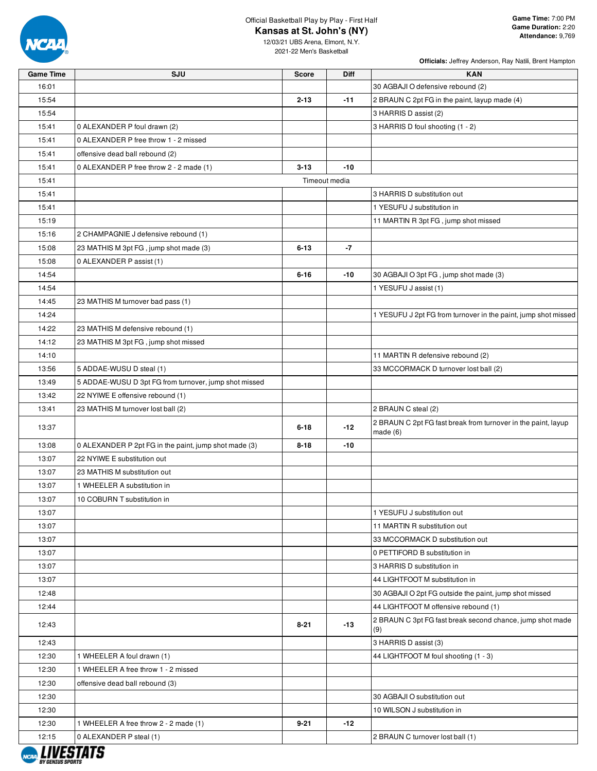

**Officials:** Jeffrey Anderson, Ray Natili, Brent Hampton

12/03/21 UBS Arena, Elmont, N.Y. 2021-22 Men's Basketball

**Game Time SJU Score Diff KAN**

| 16:01 |                                                       |          |               | 30 AGBAJI O defensive rebound (2)                                        |
|-------|-------------------------------------------------------|----------|---------------|--------------------------------------------------------------------------|
| 15:54 |                                                       | $2 - 13$ | $-11$         | 2 BRAUN C 2pt FG in the paint, layup made (4)                            |
| 15:54 |                                                       |          |               | 3 HARRIS D assist (2)                                                    |
| 15:41 | 0 ALEXANDER P foul drawn (2)                          |          |               | 3 HARRIS D foul shooting (1 - 2)                                         |
| 15:41 | 0 ALEXANDER P free throw 1 - 2 missed                 |          |               |                                                                          |
| 15:41 | offensive dead ball rebound (2)                       |          |               |                                                                          |
| 15:41 | 0 ALEXANDER P free throw 2 - 2 made (1)               | $3 - 13$ | $-10$         |                                                                          |
| 15:41 |                                                       |          | Timeout media |                                                                          |
| 15:41 |                                                       |          |               | 3 HARRIS D substitution out                                              |
| 15:41 |                                                       |          |               | 1 YESUFU J substitution in                                               |
| 15:19 |                                                       |          |               | 11 MARTIN R 3pt FG, jump shot missed                                     |
| 15:16 | 2 CHAMPAGNIE J defensive rebound (1)                  |          |               |                                                                          |
| 15:08 | 23 MATHIS M 3pt FG, jump shot made (3)                | $6 - 13$ | $-7$          |                                                                          |
| 15:08 | 0 ALEXANDER P assist (1)                              |          |               |                                                                          |
| 14:54 |                                                       | $6 - 16$ | $-10$         | 30 AGBAJI O 3pt FG, jump shot made (3)                                   |
| 14:54 |                                                       |          |               | 1 YESUFU J assist (1)                                                    |
| 14:45 | 23 MATHIS M turnover bad pass (1)                     |          |               |                                                                          |
| 14:24 |                                                       |          |               | 1 YESUFU J 2pt FG from turnover in the paint, jump shot missed           |
| 14:22 | 23 MATHIS M defensive rebound (1)                     |          |               |                                                                          |
| 14:12 | 23 MATHIS M 3pt FG, jump shot missed                  |          |               |                                                                          |
| 14:10 |                                                       |          |               | 11 MARTIN R defensive rebound (2)                                        |
| 13:56 | 5 ADDAE-WUSU D steal (1)                              |          |               | 33 MCCORMACK D turnover lost ball (2)                                    |
| 13:49 | 5 ADDAE-WUSU D 3pt FG from turnover, jump shot missed |          |               |                                                                          |
| 13:42 | 22 NYIWE E offensive rebound (1)                      |          |               |                                                                          |
| 13:41 | 23 MATHIS M turnover lost ball (2)                    |          |               | 2 BRAUN C steal (2)                                                      |
| 13:37 |                                                       | $6 - 18$ | -12           | 2 BRAUN C 2pt FG fast break from turnover in the paint, layup<br>made(6) |
| 13:08 | 0 ALEXANDER P 2pt FG in the paint, jump shot made (3) | $8 - 18$ | $-10$         |                                                                          |
| 13:07 | 22 NYIWE E substitution out                           |          |               |                                                                          |
| 13:07 | 23 MATHIS M substitution out                          |          |               |                                                                          |
| 13:07 | 1 WHEELER A substitution in                           |          |               |                                                                          |
| 13:07 | 10 COBURN T substitution in                           |          |               |                                                                          |
| 13:07 |                                                       |          |               | 1 YESUFU J substitution out                                              |
| 13:07 |                                                       |          |               | 11 MARTIN R substitution out                                             |
| 13:07 |                                                       |          |               | 33 MCCORMACK D substitution out                                          |
| 13:07 |                                                       |          |               | 0 PETTIFORD B substitution in                                            |
| 13:07 |                                                       |          |               | 3 HARRIS D substitution in                                               |
| 13:07 |                                                       |          |               | 44 LIGHTFOOT M substitution in                                           |
| 12:48 |                                                       |          |               | 30 AGBAJI O 2pt FG outside the paint, jump shot missed                   |
| 12:44 |                                                       |          |               | 44 LIGHTFOOT M offensive rebound (1)                                     |
| 12:43 |                                                       | $8 - 21$ | -13           | 2 BRAUN C 3pt FG fast break second chance, jump shot made<br>(9)         |
| 12:43 |                                                       |          |               | 3 HARRIS D assist (3)                                                    |
| 12:30 | 1 WHEELER A foul drawn (1)                            |          |               | 44 LIGHTFOOT M foul shooting (1 - 3)                                     |
| 12:30 | 1 WHEELER A free throw 1 - 2 missed                   |          |               |                                                                          |
| 12:30 | offensive dead ball rebound (3)                       |          |               |                                                                          |
| 12:30 |                                                       |          |               | 30 AGBAJI O substitution out                                             |
| 12:30 |                                                       |          |               | 10 WILSON J substitution in                                              |
| 12:30 | 1 WHEELER A free throw 2 - 2 made (1)                 | $9 - 21$ | $-12$         |                                                                          |
| 12:15 | 0 ALEXANDER P steal (1)                               |          |               | 2 BRAUN C turnover lost ball (1)                                         |

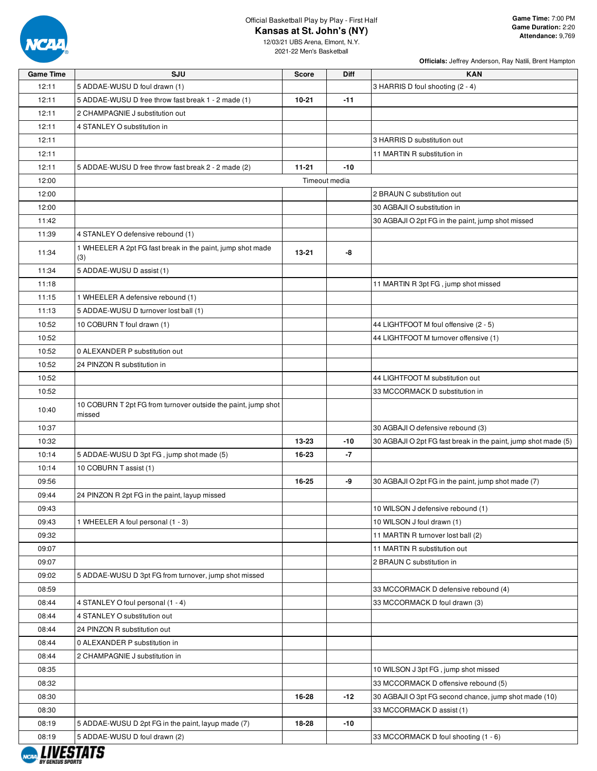

**Officials:** Jeffrey Anderson, Ray Natili, Brent Hampton

| <b>Game Time</b> | SJU                                                                     | Score     | Diff          | <b>KAN</b>                                                     |
|------------------|-------------------------------------------------------------------------|-----------|---------------|----------------------------------------------------------------|
| 12:11            | 5 ADDAE-WUSU D foul drawn (1)                                           |           |               | 3 HARRIS D foul shooting (2 - 4)                               |
| 12:11            | 5 ADDAE-WUSU D free throw fast break 1 - 2 made (1)                     | $10 - 21$ | $-11$         |                                                                |
| 12:11            | 2 CHAMPAGNIE J substitution out                                         |           |               |                                                                |
| 12:11            | 4 STANLEY O substitution in                                             |           |               |                                                                |
| 12:11            |                                                                         |           |               | 3 HARRIS D substitution out                                    |
| 12:11            |                                                                         |           |               | 11 MARTIN R substitution in                                    |
| 12:11            | 5 ADDAE-WUSU D free throw fast break 2 - 2 made (2)                     | $11 - 21$ | -10           |                                                                |
| 12:00            |                                                                         |           | Timeout media |                                                                |
| 12:00            |                                                                         |           |               | 2 BRAUN C substitution out                                     |
| 12:00            |                                                                         |           |               | 30 AGBAJI O substitution in                                    |
| 11:42            |                                                                         |           |               | 30 AGBAJI O 2pt FG in the paint, jump shot missed              |
| 11:39            | 4 STANLEY O defensive rebound (1)                                       |           |               |                                                                |
| 11:34            | 1 WHEELER A 2pt FG fast break in the paint, jump shot made<br>(3)       | 13-21     | -8            |                                                                |
| 11:34            | 5 ADDAE-WUSU D assist (1)                                               |           |               |                                                                |
| 11:18            |                                                                         |           |               | 11 MARTIN R 3pt FG, jump shot missed                           |
| 11:15            | 1 WHEELER A defensive rebound (1)                                       |           |               |                                                                |
| 11:13            | 5 ADDAE-WUSU D turnover lost ball (1)                                   |           |               |                                                                |
| 10:52            | 10 COBURN T foul drawn (1)                                              |           |               | 44 LIGHTFOOT M foul offensive (2 - 5)                          |
| 10:52            |                                                                         |           |               | 44 LIGHTFOOT M turnover offensive (1)                          |
| 10:52            | 0 ALEXANDER P substitution out                                          |           |               |                                                                |
| 10:52            | 24 PINZON R substitution in                                             |           |               |                                                                |
| 10:52            |                                                                         |           |               | 44 LIGHTFOOT M substitution out                                |
| 10:52            |                                                                         |           |               | 33 MCCORMACK D substitution in                                 |
| 10:40            | 10 COBURN T 2pt FG from turnover outside the paint, jump shot<br>missed |           |               |                                                                |
| 10:37            |                                                                         |           |               | 30 AGBAJI O defensive rebound (3)                              |
| 10:32            |                                                                         | 13-23     | -10           | 30 AGBAJI O 2pt FG fast break in the paint, jump shot made (5) |
| 10:14            | 5 ADDAE-WUSU D 3pt FG, jump shot made (5)                               | 16-23     | -7            |                                                                |
| 10:14            | 10 COBURN T assist (1)                                                  |           |               |                                                                |
| 09:56            |                                                                         | 16-25     | -9            | 30 AGBAJI O 2pt FG in the paint, jump shot made (7)            |
| 09:44            | 24 PINZON R 2pt FG in the paint, layup missed                           |           |               |                                                                |
| 09:43            |                                                                         |           |               | 10 WILSON J defensive rebound (1)                              |
| 09:43            | 1 WHEELER A foul personal (1 - 3)                                       |           |               | 10 WILSON J foul drawn (1)                                     |
| 09:32            |                                                                         |           |               | 11 MARTIN R turnover lost ball (2)                             |
| 09:07            |                                                                         |           |               | 11 MARTIN R substitution out                                   |
| 09:07            |                                                                         |           |               | 2 BRAUN C substitution in                                      |
| 09:02            | 5 ADDAE-WUSU D 3pt FG from turnover, jump shot missed                   |           |               |                                                                |
| 08:59            |                                                                         |           |               | 33 MCCORMACK D defensive rebound (4)                           |
| 08:44            | 4 STANLEY O foul personal (1 - 4)                                       |           |               | 33 MCCORMACK D foul drawn (3)                                  |
| 08:44            | 4 STANLEY O substitution out                                            |           |               |                                                                |
| 08:44            | 24 PINZON R substitution out                                            |           |               |                                                                |
| 08:44            | 0 ALEXANDER P substitution in                                           |           |               |                                                                |
| 08:44            | 2 CHAMPAGNIE J substitution in                                          |           |               |                                                                |
| 08:35            |                                                                         |           |               | 10 WILSON J 3pt FG, jump shot missed                           |
| 08:32            |                                                                         |           |               | 33 MCCORMACK D offensive rebound (5)                           |
| 08:30            |                                                                         | 16-28     | $-12$         | 30 AGBAJI O 3pt FG second chance, jump shot made (10)          |
| 08:30            |                                                                         |           |               | 33 MCCORMACK D assist (1)                                      |
| 08:19            | 5 ADDAE-WUSU D 2pt FG in the paint, layup made (7)                      | 18-28     | -10           |                                                                |
| 08:19            | 5 ADDAE-WUSU D foul drawn (2)                                           |           |               | 33 MCCORMACK D foul shooting (1 - 6)                           |

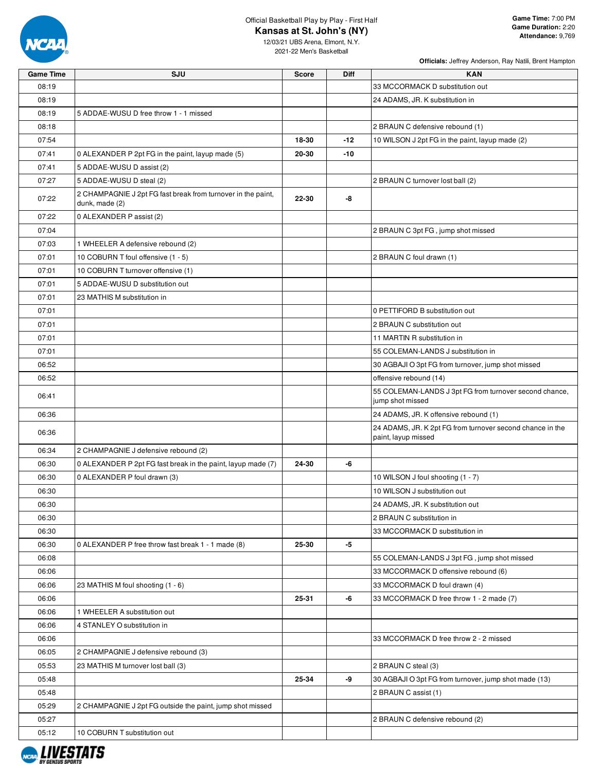

|                  |                                                                                |              |       | Officials: Jeffrey Anderson, Ray Natili, Brent Hampton                           |
|------------------|--------------------------------------------------------------------------------|--------------|-------|----------------------------------------------------------------------------------|
| <b>Game Time</b> | SJU                                                                            | <b>Score</b> | Diff  | <b>KAN</b>                                                                       |
| 08:19            |                                                                                |              |       | 33 MCCORMACK D substitution out                                                  |
| 08:19            |                                                                                |              |       | 24 ADAMS, JR. K substitution in                                                  |
| 08:19            | 5 ADDAE-WUSU D free throw 1 - 1 missed                                         |              |       |                                                                                  |
| 08:18            |                                                                                |              |       | 2 BRAUN C defensive rebound (1)                                                  |
| 07:54            |                                                                                | 18-30        | $-12$ | 10 WILSON J 2pt FG in the paint, layup made (2)                                  |
| 07:41            | 0 ALEXANDER P 2pt FG in the paint, layup made (5)                              | 20-30        | -10   |                                                                                  |
| 07:41            | 5 ADDAE-WUSU D assist (2)                                                      |              |       |                                                                                  |
| 07:27            | 5 ADDAE-WUSU D steal (2)                                                       |              |       | 2 BRAUN C turnover lost ball (2)                                                 |
| 07:22            | 2 CHAMPAGNIE J 2pt FG fast break from turnover in the paint,<br>dunk, made (2) | 22-30        | -8    |                                                                                  |
| 07:22            | 0 ALEXANDER P assist (2)                                                       |              |       |                                                                                  |
| 07:04            |                                                                                |              |       | 2 BRAUN C 3pt FG, jump shot missed                                               |
| 07:03            | 1 WHEELER A defensive rebound (2)                                              |              |       |                                                                                  |
| 07:01            | 10 COBURN T foul offensive (1 - 5)                                             |              |       | 2 BRAUN C foul drawn (1)                                                         |
| 07:01            | 10 COBURN T turnover offensive (1)                                             |              |       |                                                                                  |
| 07:01            | 5 ADDAE-WUSU D substitution out                                                |              |       |                                                                                  |
| 07:01            | 23 MATHIS M substitution in                                                    |              |       |                                                                                  |
| 07:01            |                                                                                |              |       | 0 PETTIFORD B substitution out                                                   |
| 07:01            |                                                                                |              |       | 2 BRAUN C substitution out                                                       |
| 07:01            |                                                                                |              |       | 11 MARTIN R substitution in                                                      |
| 07:01            |                                                                                |              |       | 55 COLEMAN-LANDS J substitution in                                               |
| 06:52            |                                                                                |              |       | 30 AGBAJI O 3pt FG from turnover, jump shot missed                               |
| 06:52            |                                                                                |              |       | offensive rebound (14)                                                           |
| 06:41            |                                                                                |              |       | 55 COLEMAN-LANDS J 3pt FG from turnover second chance,<br>jump shot missed       |
| 06:36            |                                                                                |              |       | 24 ADAMS, JR. K offensive rebound (1)                                            |
| 06:36            |                                                                                |              |       | 24 ADAMS, JR. K 2pt FG from turnover second chance in the<br>paint, layup missed |
| 06:34            | 2 CHAMPAGNIE J defensive rebound (2)                                           |              |       |                                                                                  |
| 06:30            | 0 ALEXANDER P 2pt FG fast break in the paint, layup made (7)                   | 24-30        | -6    |                                                                                  |
| 06:30            | 0 ALEXANDER P foul drawn (3)                                                   |              |       | 10 WILSON J foul shooting (1 - 7)                                                |
| 06:30            |                                                                                |              |       | 10 WILSON J substitution out                                                     |
| 06:30            |                                                                                |              |       | 24 ADAMS, JR. K substitution out                                                 |
| 06:30            |                                                                                |              |       | 2 BRAUN C substitution in                                                        |
| 06:30            |                                                                                |              |       | 33 MCCORMACK D substitution in                                                   |
| 06:30            | 0 ALEXANDER P free throw fast break 1 - 1 made (8)                             | 25-30        | -5    |                                                                                  |
| 06:08            |                                                                                |              |       | 55 COLEMAN-LANDS J 3pt FG, jump shot missed                                      |
| 06:06            |                                                                                |              |       | 33 MCCORMACK D offensive rebound (6)                                             |
| 06:06            | 23 MATHIS M foul shooting (1 - 6)                                              |              |       | 33 MCCORMACK D foul drawn (4)                                                    |
| 06:06            |                                                                                | 25-31        | -6    | 33 MCCORMACK D free throw 1 - 2 made (7)                                         |
| 06:06            | 1 WHEELER A substitution out                                                   |              |       |                                                                                  |
| 06:06            | 4 STANLEY O substitution in                                                    |              |       |                                                                                  |
| 06:06            |                                                                                |              |       | 33 MCCORMACK D free throw 2 - 2 missed                                           |
| 06:05            | 2 CHAMPAGNIE J defensive rebound (3)                                           |              |       |                                                                                  |
| 05:53            | 23 MATHIS M turnover lost ball (3)                                             |              |       | 2 BRAUN C steal (3)                                                              |
| 05:48            |                                                                                | 25-34        | -9    | 30 AGBAJI O 3pt FG from turnover, jump shot made (13)                            |
| 05:48            |                                                                                |              |       | 2 BRAUN C assist (1)                                                             |
| 05:29            | 2 CHAMPAGNIE J 2pt FG outside the paint, jump shot missed                      |              |       |                                                                                  |
| 05:27            |                                                                                |              |       | 2 BRAUN C defensive rebound (2)                                                  |
| 05:12            | 10 COBURN T substitution out                                                   |              |       |                                                                                  |

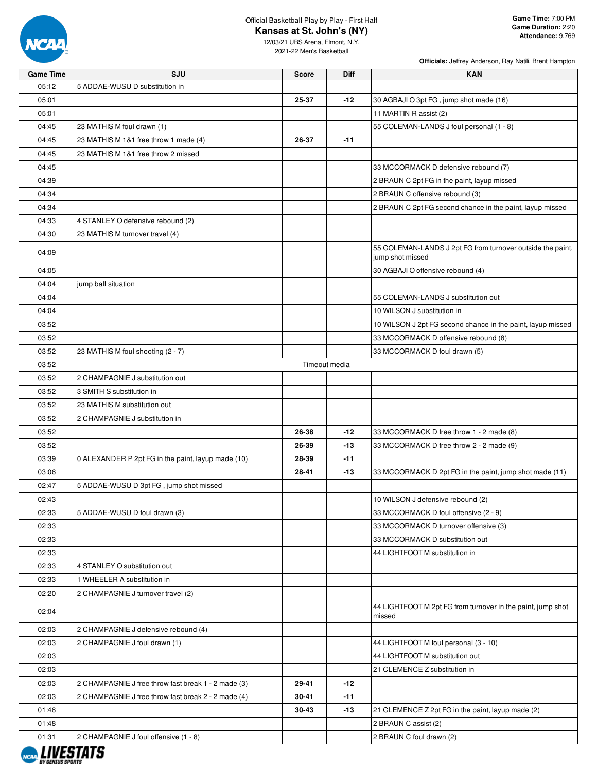

**Officials:** Jeffrey Anderson, Ray Natili, Brent Hampton

| <b>Game Time</b>   | SJU                                                 | <b>Score</b> | Diff          | <b>KAN</b>                                                                     |
|--------------------|-----------------------------------------------------|--------------|---------------|--------------------------------------------------------------------------------|
| 05:12              | 5 ADDAE-WUSU D substitution in                      |              |               |                                                                                |
| 05:01              |                                                     | 25-37        | $-12$         | 30 AGBAJI O 3pt FG, jump shot made (16)                                        |
| 05:01              |                                                     |              |               | 11 MARTIN R assist (2)                                                         |
| 04:45              | 23 MATHIS M foul drawn (1)                          |              |               | 55 COLEMAN-LANDS J foul personal (1 - 8)                                       |
| 04:45              | 23 MATHIS M 1&1 free throw 1 made (4)               | 26-37        | $-11$         |                                                                                |
| 04:45              | 23 MATHIS M 1&1 free throw 2 missed                 |              |               |                                                                                |
| 04:45              |                                                     |              |               | 33 MCCORMACK D defensive rebound (7)                                           |
| 04:39              |                                                     |              |               | 2 BRAUN C 2pt FG in the paint, layup missed                                    |
| 04:34              |                                                     |              |               | 2 BRAUN C offensive rebound (3)                                                |
| 04:34              |                                                     |              |               | 2 BRAUN C 2pt FG second chance in the paint, layup missed                      |
| 04:33              | 4 STANLEY O defensive rebound (2)                   |              |               |                                                                                |
| 04:30              | 23 MATHIS M turnover travel (4)                     |              |               |                                                                                |
| 04:09              |                                                     |              |               | 55 COLEMAN-LANDS J 2pt FG from turnover outside the paint,<br>jump shot missed |
| 04:05              |                                                     |              |               | 30 AGBAJI O offensive rebound (4)                                              |
| 04:04              | jump ball situation                                 |              |               |                                                                                |
| 04:04              |                                                     |              |               | 55 COLEMAN-LANDS J substitution out                                            |
| 04:04              |                                                     |              |               | 10 WILSON J substitution in                                                    |
| 03:52              |                                                     |              |               | 10 WILSON J 2pt FG second chance in the paint, layup missed                    |
| 03:52              |                                                     |              |               | 33 MCCORMACK D offensive rebound (8)                                           |
| 03:52              | 23 MATHIS M foul shooting (2 - 7)                   |              |               | 33 MCCORMACK D foul drawn (5)                                                  |
| 03:52              |                                                     |              | Timeout media |                                                                                |
| 03:52              | 2 CHAMPAGNIE J substitution out                     |              |               |                                                                                |
| 03:52              | 3 SMITH S substitution in                           |              |               |                                                                                |
| 03:52              | 23 MATHIS M substitution out                        |              |               |                                                                                |
| 03:52              | 2 CHAMPAGNIE J substitution in                      |              |               |                                                                                |
| 03:52              |                                                     | 26-38        | $-12$         | 33 MCCORMACK D free throw 1 - 2 made (8)                                       |
| 03:52              |                                                     | 26-39        | $-13$         | 33 MCCORMACK D free throw 2 - 2 made (9)                                       |
| 03:39              | 0 ALEXANDER P 2pt FG in the paint, layup made (10)  | 28-39        | $-11$         |                                                                                |
| 03:06              |                                                     | 28-41        | -13           | 33 MCCORMACK D 2pt FG in the paint, jump shot made (11)                        |
| 02:47              | 5 ADDAE-WUSU D 3pt FG, jump shot missed             |              |               |                                                                                |
| 02:43              |                                                     |              |               | 10 WILSON J defensive rebound (2)                                              |
| 02:33              | 5 ADDAE-WUSU D foul drawn (3)                       |              |               | 33 MCCORMACK D foul offensive (2 - 9)                                          |
| 02:33              |                                                     |              |               | 33 MCCORMACK D turnover offensive (3)                                          |
| 02:33              |                                                     |              |               | 33 MCCORMACK D substitution out                                                |
| 02:33              |                                                     |              |               | 44 LIGHTFOOT M substitution in                                                 |
| 02:33              | 4 STANLEY O substitution out                        |              |               |                                                                                |
| 02:33              | 1 WHEELER A substitution in                         |              |               |                                                                                |
| 02:20              | 2 CHAMPAGNIE J turnover travel (2)                  |              |               |                                                                                |
| 02:04              |                                                     |              |               | 44 LIGHTFOOT M 2pt FG from turnover in the paint, jump shot<br>missed          |
| 02:03              | 2 CHAMPAGNIE J defensive rebound (4)                |              |               |                                                                                |
| 02:03              | 2 CHAMPAGNIE J foul drawn (1)                       |              |               | 44 LIGHTFOOT M foul personal (3 - 10)                                          |
| 02:03              |                                                     |              |               | 44 LIGHTFOOT M substitution out                                                |
| 02:03              |                                                     |              |               | 21 CLEMENCE Z substitution in                                                  |
| 02:03              | 2 CHAMPAGNIE J free throw fast break 1 - 2 made (3) | 29-41        | -12           |                                                                                |
| 02:03              | 2 CHAMPAGNIE J free throw fast break 2 - 2 made (4) | 30-41        | $-11$         |                                                                                |
| 01:48              |                                                     | 30-43        | $-13$         | 21 CLEMENCE Z 2pt FG in the paint, layup made (2)                              |
| 01:48              |                                                     |              |               | 2 BRAUN C assist (2)                                                           |
| 01:31<br>. <i></i> | 2 CHAMPAGNIE J foul offensive (1 - 8)               |              |               | 2 BRAUN C foul drawn (2)                                                       |

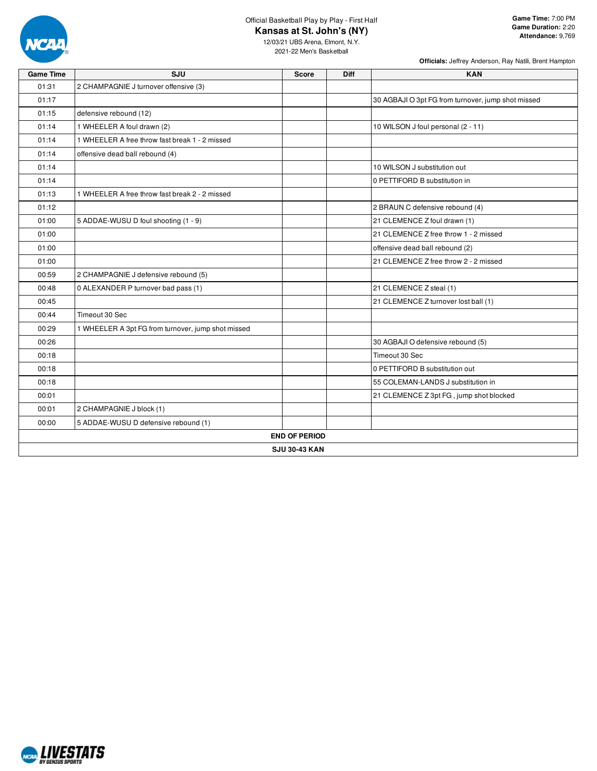

**Game Time:** 7:00 PM **Game Duration:** 2:20 **Attendance:** 9,769

**Officials:** Jeffrey Anderson, Ray Natili, Brent Hampton

| <b>Game Time</b> | SJU                                                | <b>Score</b>         | <b>Diff</b> | <b>KAN</b>                                         |
|------------------|----------------------------------------------------|----------------------|-------------|----------------------------------------------------|
| 01:31            | 2 CHAMPAGNIE J turnover offensive (3)              |                      |             |                                                    |
| 01:17            |                                                    |                      |             | 30 AGBAJI O 3pt FG from turnover, jump shot missed |
| 01:15            | defensive rebound (12)                             |                      |             |                                                    |
| 01:14            | 1 WHEELER A foul drawn (2)                         |                      |             | 10 WILSON J foul personal (2 - 11)                 |
| 01:14            | 1 WHEELER A free throw fast break 1 - 2 missed     |                      |             |                                                    |
| 01:14            | offensive dead ball rebound (4)                    |                      |             |                                                    |
| 01:14            |                                                    |                      |             | 10 WILSON J substitution out                       |
| 01:14            |                                                    |                      |             | 0 PETTIFORD B substitution in                      |
| 01:13            | 1 WHEELER A free throw fast break 2 - 2 missed     |                      |             |                                                    |
| 01:12            |                                                    |                      |             | 2 BRAUN C defensive rebound (4)                    |
| 01:00            | 5 ADDAE-WUSU D foul shooting (1 - 9)               |                      |             | 21 CLEMENCE Z foul drawn (1)                       |
| 01:00            |                                                    |                      |             | 21 CLEMENCE Z free throw 1 - 2 missed              |
| 01:00            |                                                    |                      |             | offensive dead ball rebound (2)                    |
| 01:00            |                                                    |                      |             | 21 CLEMENCE Z free throw 2 - 2 missed              |
| 00:59            | 2 CHAMPAGNIE J defensive rebound (5)               |                      |             |                                                    |
| 00:48            | 0 ALEXANDER P turnover bad pass (1)                |                      |             | 21 CLEMENCE Z steal (1)                            |
| 00:45            |                                                    |                      |             | 21 CLEMENCE Z turnover lost ball (1)               |
| 00:44            | Timeout 30 Sec                                     |                      |             |                                                    |
| 00:29            | 1 WHEELER A 3pt FG from turnover, jump shot missed |                      |             |                                                    |
| 00:26            |                                                    |                      |             | 30 AGBAJI O defensive rebound (5)                  |
| 00:18            |                                                    |                      |             | Timeout 30 Sec                                     |
| 00:18            |                                                    |                      |             | 0 PETTIFORD B substitution out                     |
| 00:18            |                                                    |                      |             | 55 COLEMAN-LANDS J substitution in                 |
| 00:01            |                                                    |                      |             | 21 CLEMENCE Z 3pt FG, jump shot blocked            |
| 00:01            | 2 CHAMPAGNIE J block (1)                           |                      |             |                                                    |
| 00:00            | 5 ADDAE-WUSU D defensive rebound (1)               |                      |             |                                                    |
|                  |                                                    | <b>END OF PERIOD</b> |             |                                                    |
|                  |                                                    | <b>SJU 30-43 KAN</b> |             |                                                    |

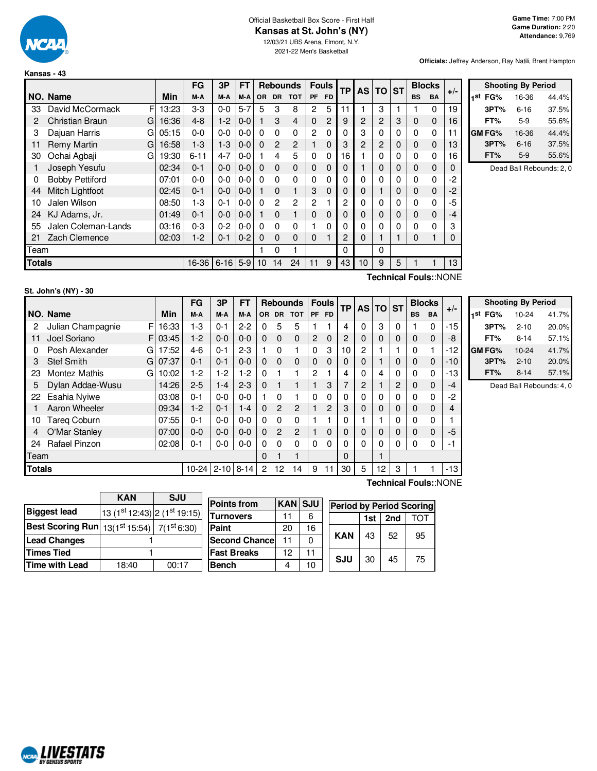

# Official Basketball Box Score - First Half **Kansas at St. John's (NY)**

12/03/21 UBS Arena, Elmont, N.Y. 2021-22 Men's Basketball

**Officials:** Jeffrey Anderson, Ray Natili, Brent Hampton

|        |                        |   |       | FG       | 3P       | FT      |           |                | <b>Rebounds</b> |                | <b>Fouls</b> | <b>TP</b>      | <b>AS</b>      | TO           | <b>ST</b> | <b>Blocks</b> |           | $+/-$ |
|--------|------------------------|---|-------|----------|----------|---------|-----------|----------------|-----------------|----------------|--------------|----------------|----------------|--------------|-----------|---------------|-----------|-------|
|        | NO. Name               |   | Min   | M-A      | M-A      | M-A     | <b>OR</b> | <b>DR</b>      | <b>TOT</b>      | <b>PF</b>      | <b>FD</b>    |                |                |              |           | <b>BS</b>     | <b>BA</b> |       |
| 33     | David McCormack        | F | 13:23 | $3-3$    | $0 - 0$  | $5 - 7$ | 5         | 3              | 8               | 2              | 5            | 11             |                | 3            |           |               | $\Omega$  | 19    |
| 2      | <b>Christian Braun</b> | G | 16:36 | $4 - 8$  | $1 - 2$  | 0-0     | 1         | 3              | $\overline{4}$  | 0              | 2            | 9              | $\overline{c}$ | 2            | 3         | $\mathbf 0$   | 0         | 16    |
| 3      | Dajuan Harris          | G | 05:15 | $0 - 0$  | $0 - 0$  | $0-0$   | $\Omega$  | $\Omega$       | 0               | 2              | 0            | $\Omega$       | 3              | 0            | 0         | 0             | 0         | 11    |
| 11     | <b>Remy Martin</b>     | G | 16:58 | $1-3$    | $1 - 3$  | $0 - 0$ | $\Omega$  | $\mathcal{P}$  | $\overline{2}$  |                | 0            | 3              | 2              | 2            | 0         | $\mathbf 0$   | $\Omega$  | 13    |
| 30     | Ochai Agbaji           | G | 19:30 | $6 - 11$ | $4 - 7$  | $0 - 0$ |           | 4              | 5               | 0              | 0            | 16             |                | $\mathbf{0}$ | 0         | $\Omega$      | 0         | 16    |
|        | Joseph Yesufu          |   | 02:34 | $0 - 1$  | $0 - 0$  | $0 - 0$ | $\Omega$  | $\Omega$       | $\Omega$        | 0              | 0            | $\Omega$       |                | 0            | 0         | $\Omega$      | $\Omega$  | 0     |
| 0      | <b>Bobby Pettiford</b> |   | 07:01 | $0 - 0$  | $0 - 0$  | $0 - 0$ | $\Omega$  | $\Omega$       | $\Omega$        | 0              | 0            | $\Omega$       | 0              | 0            | 0         | $\Omega$      | 0         | -2    |
| 44     | Mitch Lightfoot        |   | 02:45 | $0 - 1$  | $0 - 0$  | $0 - 0$ | 1         | $\Omega$       | 1               | 3              | 0            | $\mathbf 0$    | 0              |              | 0         | $\mathbf 0$   | $\Omega$  | -2    |
| 10     | Jalen Wilson           |   | 08:50 | $1-3$    | $0 - 1$  | $0 - 0$ | $\Omega$  | $\overline{2}$ | $\overline{2}$  | $\overline{2}$ |              | $\overline{2}$ | 0              | $\mathbf{0}$ | 0         | 0             | 0         | $-5$  |
| 24     | KJ Adams, Jr.          |   | 01:49 | $0 - 1$  | $0 - 0$  | $0-0$   |           | $\Omega$       | $\mathbf{1}$    | 0              | 0            | $\mathbf 0$    | 0              | 0            | 0         | $\mathbf 0$   | $\Omega$  | -4    |
| 55     | Jalen Coleman-Lands    |   | 03:16 | $0 - 3$  | $0 - 2$  | $0-0$   | $\Omega$  | $\Omega$       | 0               |                | 0            | $\Omega$       | 0              | 0            | 0         | $\Omega$      | 0         | 3     |
| 21     | Zach Clemence          |   | 02:03 | $1-2$    | $0 - 1$  | $0 - 2$ | $\Omega$  | $\Omega$       | $\Omega$        | 0              | ٠            | 2              | 0              |              |           | 0             |           | 0     |
| Team   |                        |   |       |          |          |         |           | 0              |                 |                |              | $\Omega$       |                | 0            |           |               |           |       |
| Totals |                        |   |       | 16-36    | $6 - 16$ | $5-9$   | 10        | 14             | 24              | 11             | 9            | 43             | 10             | 9            | 5         |               |           | 13    |
|        |                        |   |       |          |          |         |           |                |                 |                |              |                |                | Taabataal    |           |               |           |       |

|     | <b>Shooting By Period</b> |          |       |  |  |  |  |  |  |  |  |  |  |
|-----|---------------------------|----------|-------|--|--|--|--|--|--|--|--|--|--|
| 1st | FG%                       | 16-36    | 44.4% |  |  |  |  |  |  |  |  |  |  |
|     | 3PT%                      | $6 - 16$ | 37.5% |  |  |  |  |  |  |  |  |  |  |
|     | FT%                       | $5-9$    | 55.6% |  |  |  |  |  |  |  |  |  |  |
|     | GM FG%                    | 16-36    | 44.4% |  |  |  |  |  |  |  |  |  |  |
|     | 3PT%                      | $6 - 16$ | 37.5% |  |  |  |  |  |  |  |  |  |  |
|     | FT%                       | $5-9$    | 55.6% |  |  |  |  |  |  |  |  |  |  |

Dead Ball Rebounds: 2, 0

| St. John's (NY) - 30 |  |
|----------------------|--|
|                      |  |

**Technical Fouls:**:NONE

|               |                         |            | <b>FG</b>       | 3P      | <b>FT</b> |                |                   | <b>Rebounds</b> |                | <b>Fouls</b> | TP <sub>1</sub> |          | <b>AS TO ST</b> |   | <b>Blocks</b> |             | $+/-$ |               | <b>Shooting By Period</b> |       |
|---------------|-------------------------|------------|-----------------|---------|-----------|----------------|-------------------|-----------------|----------------|--------------|-----------------|----------|-----------------|---|---------------|-------------|-------|---------------|---------------------------|-------|
|               | NO. Name                | <b>Min</b> | M-A             | M-A     | M-A       |                |                   | OR DR TOT       |                | PF FD        |                 |          |                 |   | <b>BS</b>     | <b>BA</b>   |       | 1st<br>FG%    | $10 - 24$                 | 41.7% |
| 2             | FI<br>Julian Champagnie | 16:33      | $1-3$           | $0 - 1$ | $2 - 2$   | 0              | 5                 | 5               |                |              | 4               | $\Omega$ | 3               | 0 |               | 0           | -15   | 3PT%          | $2 - 10$                  | 20.0% |
|               | Joel Soriano            | F103:45    | $1-2$           | $0 - 0$ | $0 - 0$   | $\Omega$       | $\Omega$          | $\Omega$        | $\overline{2}$ | $\mathbf 0$  | $\overline{2}$  | 0        | 0               | 0 | $\mathbf 0$   | $\Omega$    | -8    | FT%           | $8 - 14$                  | 57.1% |
| 0             | Posh Alexander<br>GI    | 17:52      | $4-6$           | $0 - 1$ | $2 - 3$   |                | $\Omega$          |                 | 0              | 3            | 10              | 2        |                 |   | 0             |             | -12   | <b>GM FG%</b> | $10-24$                   | 41.7% |
| 3             | <b>Stef Smith</b>       | G 07:37    | $0 - 1$         | $0 - 1$ | $0 - 0$   | $\Omega$       | $\Omega$          | $\Omega$        | $\Omega$       | $\Omega$     | 0               | 0        |                 | 0 | $\mathbf 0$   | $\Omega$    | $-10$ | 3PT%          | $2 - 10$                  | 20.0% |
| 23            | Montez Mathis<br>G      | 10:02      | $1-2$           | $1-2$   | $1 - 2$   | $\Omega$       |                   |                 | $\mathbf{2}$   |              |                 | 0        | 4               | 0 | $\Omega$      | 0           | -13   | FT%           | $8 - 14$                  | 57.1% |
| 5             | Dylan Addae-Wusu        | 14:26      | $2 - 5$         | $1 - 4$ | $2 - 3$   | $\Omega$       |                   |                 |                | 3            |                 | 2        |                 | 2 | 0             | 0           | $-4$  |               | Dead Ball Rebounds: 4, 0  |       |
| 22            | Esahia Nyiwe            | 03:08      | $0 - 1$         | $0-0$   | $0 - 0$   |                | $\Omega$          |                 | 0              | 0            |                 | 0        | 0               | 0 | $\Omega$      | 0           | $-2$  |               |                           |       |
|               | Aaron Wheeler           | 09:34      | $1-2$           | $0 - 1$ | $1 - 4$   | $\Omega$       | $\overline{2}$    | $\overline{2}$  |                | 2            | 3               | $\Omega$ | $\mathbf 0$     | 0 | $\Omega$      | $\mathbf 0$ | 4     |               |                           |       |
| 10            | <b>Tareg Coburn</b>     | 07:55      | $0 - 1$         | $0-0$   | $0 - 0$   | $\Omega$       | $\Omega$          | $\Omega$        |                |              | 0               |          |                 |   | 0             | 0           |       |               |                           |       |
| 4             | O'Mar Stanley           | 07:00      | $0-0$           | $0-0$   | $0-0$     |                | 0 <sub>2</sub>    | $\overline{2}$  |                | $\Omega$     |                 | 0        | $\mathbf 0$     | 0 | $\mathbf 0$   | 0           | -5    |               |                           |       |
| 24            | <b>Rafael Pinzon</b>    | 02:08      | $0 - 1$         | $0-0$   | $0 - 0$   | 0              | $\Omega$          | $\Omega$        | 0              | $\Omega$     |                 | 0        | 0               | 0 | 0             | 0           | -1    |               |                           |       |
| Team          |                         |            |                 |         |           | $\Omega$       |                   |                 |                |              | $\Omega$        |          |                 |   |               |             |       |               |                           |       |
| <b>Totals</b> |                         |            | 10-24 2-10 8-14 |         |           | $\overline{2}$ | $12 \overline{ }$ | 14              | 9              | 11           | 30              | 5        | 12 <sup>°</sup> | 3 |               |             | -13   |               |                           |       |

**Technical Fouls:**:NONE

|                                                   | <b>KAN</b>                   | <b>SJU</b> |  |  |  |  |  |
|---------------------------------------------------|------------------------------|------------|--|--|--|--|--|
| <b>Biggest lead</b>                               | 13 (1st 12:43) 2 (1st 19:15) |            |  |  |  |  |  |
| <b>Best Scoring Run</b> 13(1st 15:54) 7(1st 6:30) |                              |            |  |  |  |  |  |
| <b>Lead Changes</b>                               |                              |            |  |  |  |  |  |
| <b>Times Tied</b>                                 |                              |            |  |  |  |  |  |
| <b>Time with Lead</b>                             | 18:40                        | 00:17      |  |  |  |  |  |

| <b>Points from</b>    | <b>KAN</b> | <b>SJU</b> | <b>Period by Period Scoring</b> |            |     |     |     |  |  |  |  |  |
|-----------------------|------------|------------|---------------------------------|------------|-----|-----|-----|--|--|--|--|--|
| Turnovers             | 11         | 6          |                                 |            | 1st | 2nd | ΤΩΤ |  |  |  |  |  |
| Paint                 | 20         | 16         |                                 | <b>KAN</b> |     |     |     |  |  |  |  |  |
| <b>Second Chancel</b> | 11         |            |                                 |            | 43  | 52  | 95  |  |  |  |  |  |
| <b>Fast Breaks</b>    | 12         | 11         |                                 |            | 30  |     |     |  |  |  |  |  |
| Bench                 |            | 10         |                                 | SJU        |     | 45  | 75  |  |  |  |  |  |

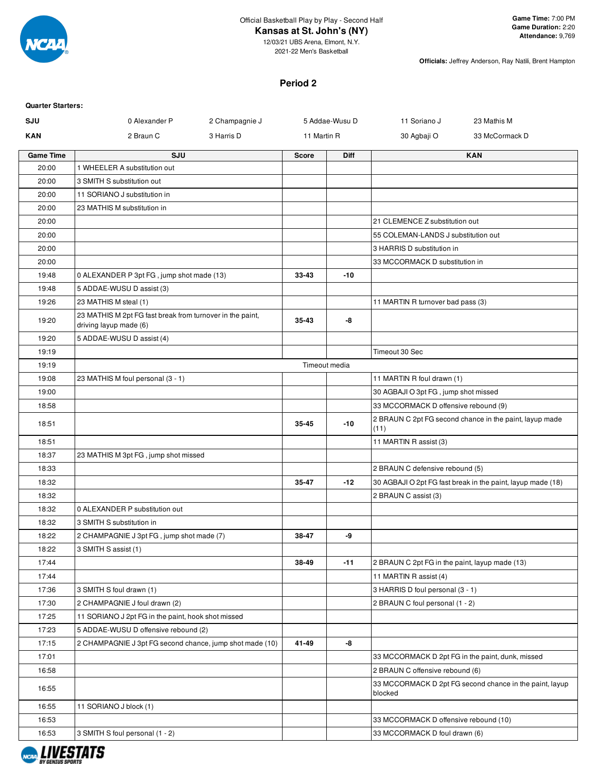

12/03/21 UBS Arena, Elmont, N.Y. 2021-22 Men's Basketball

**Officials:** Jeffrey Anderson, Ray Natili, Brent Hampton

#### **Period 2**

#### **Quarter Starters:**

| SJU              | 0 Alexander P<br>2 Champagnie J                                                     |               | 5 Addae-Wusu D | 11 Soriano J                                     | 23 Mathis M                                                 |
|------------------|-------------------------------------------------------------------------------------|---------------|----------------|--------------------------------------------------|-------------------------------------------------------------|
| <b>KAN</b>       | 2 Braun C<br>3 Harris D                                                             | 11 Martin R   |                | 30 Agbaji O                                      | 33 McCormack D                                              |
| <b>Game Time</b> | SJU                                                                                 | <b>Score</b>  | Diff           |                                                  | <b>KAN</b>                                                  |
| 20:00            | 1 WHEELER A substitution out                                                        |               |                |                                                  |                                                             |
| 20:00            | 3 SMITH S substitution out                                                          |               |                |                                                  |                                                             |
| 20:00            | 11 SORIANO J substitution in                                                        |               |                |                                                  |                                                             |
| 20:00            | 23 MATHIS M substitution in                                                         |               |                |                                                  |                                                             |
| 20:00            |                                                                                     |               |                | 21 CLEMENCE Z substitution out                   |                                                             |
| 20:00            |                                                                                     |               |                | 55 COLEMAN-LANDS J substitution out              |                                                             |
| 20:00            |                                                                                     |               |                | 3 HARRIS D substitution in                       |                                                             |
| 20:00            |                                                                                     |               |                | 33 MCCORMACK D substitution in                   |                                                             |
| 19:48            | 0 ALEXANDER P 3pt FG, jump shot made (13)                                           | 33-43         | -10            |                                                  |                                                             |
| 19:48            | 5 ADDAE-WUSU D assist (3)                                                           |               |                |                                                  |                                                             |
| 19:26            | 23 MATHIS M steal (1)                                                               |               |                | 11 MARTIN R turnover bad pass (3)                |                                                             |
| 19:20            | 23 MATHIS M 2pt FG fast break from turnover in the paint,<br>driving layup made (6) | 35-43         | -8             |                                                  |                                                             |
| 19:20            | 5 ADDAE-WUSU D assist (4)                                                           |               |                |                                                  |                                                             |
| 19:19            |                                                                                     |               |                | Timeout 30 Sec                                   |                                                             |
| 19:19            |                                                                                     | Timeout media |                |                                                  |                                                             |
| 19:08            | 23 MATHIS M foul personal (3 - 1)                                                   |               |                | 11 MARTIN R foul drawn (1)                       |                                                             |
| 19:00            |                                                                                     |               |                | 30 AGBAJI O 3pt FG, jump shot missed             |                                                             |
| 18:58            |                                                                                     |               |                | 33 MCCORMACK D offensive rebound (9)             |                                                             |
| 18:51            |                                                                                     | 35-45         | $-10$          | (11)                                             | 2 BRAUN C 2pt FG second chance in the paint, layup made     |
| 18:51            |                                                                                     |               |                | 11 MARTIN R assist (3)                           |                                                             |
| 18:37            | 23 MATHIS M 3pt FG, jump shot missed                                                |               |                |                                                  |                                                             |
| 18:33            |                                                                                     |               |                | 2 BRAUN C defensive rebound (5)                  |                                                             |
| 18:32            |                                                                                     | 35-47         | $-12$          |                                                  | 30 AGBAJI O 2pt FG fast break in the paint, layup made (18) |
| 18:32            |                                                                                     |               |                | 2 BRAUN C assist (3)                             |                                                             |
| 18:32            | 0 ALEXANDER P substitution out                                                      |               |                |                                                  |                                                             |
| 18:32            | 3 SMITH S substitution in                                                           |               |                |                                                  |                                                             |
| 18:22            | 2 CHAMPAGNIE J 3pt FG, jump shot made (7)                                           | 38-47         | -9             |                                                  |                                                             |
| 18:22            | 3 SMITH S assist (1)                                                                |               |                |                                                  |                                                             |
| 17:44            |                                                                                     | 38-49         | $-11$          | 2 BRAUN C 2pt FG in the paint, layup made (13)   |                                                             |
| 17:44            |                                                                                     |               |                | 11 MARTIN R assist (4)                           |                                                             |
| 17:36            | 3 SMITH S foul drawn (1)                                                            |               |                | 3 HARRIS D foul personal (3 - 1)                 |                                                             |
| 17:30            | 2 CHAMPAGNIE J foul drawn (2)                                                       |               |                | 2 BRAUN C foul personal (1 - 2)                  |                                                             |
| 17:25            | 11 SORIANO J 2pt FG in the paint, hook shot missed                                  |               |                |                                                  |                                                             |
| 17:23            | 5 ADDAE-WUSU D offensive rebound (2)                                                |               |                |                                                  |                                                             |
| 17:15            | 2 CHAMPAGNIE J 3pt FG second chance, jump shot made (10)                            | 41-49         | -8             |                                                  |                                                             |
| 17:01            |                                                                                     |               |                | 33 MCCORMACK D 2pt FG in the paint, dunk, missed |                                                             |
| 16:58            |                                                                                     |               |                | 2 BRAUN C offensive rebound (6)                  |                                                             |
| 16:55            |                                                                                     |               |                | blocked                                          | 33 MCCORMACK D 2pt FG second chance in the paint, layup     |
| 16:55            | 11 SORIANO J block (1)                                                              |               |                |                                                  |                                                             |
| 16:53            |                                                                                     |               |                | 33 MCCORMACK D offensive rebound (10)            |                                                             |
| 16:53            | 3 SMITH S foul personal (1 - 2)                                                     |               |                | 33 MCCORMACK D foul drawn (6)                    |                                                             |

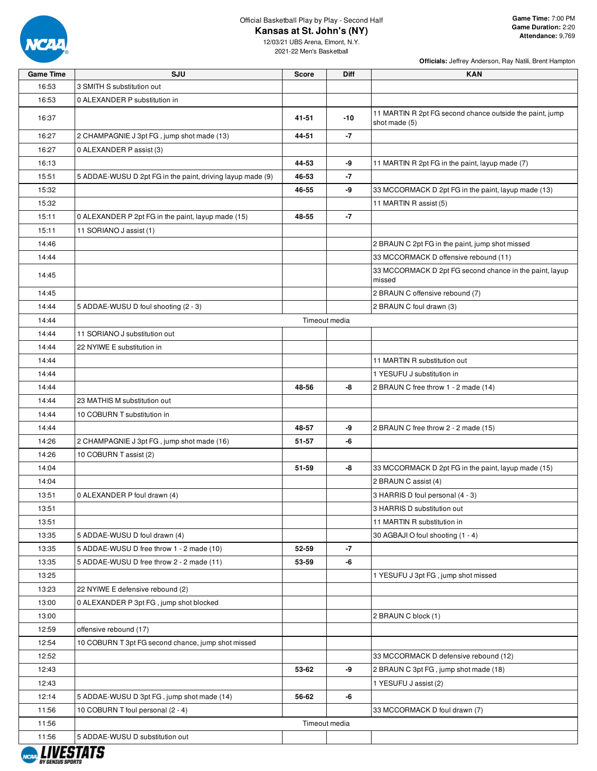

12/03/21 UBS Arena, Elmont, N.Y. 2021-22 Men's Basketball

**Officials:** Jeffrey Anderson, Ray Natili, Brent Hampton

| <b>Game Time</b> | SJU                                                        | <b>Score</b>  | <b>Diff</b>   | <b>KAN</b>                                                                |
|------------------|------------------------------------------------------------|---------------|---------------|---------------------------------------------------------------------------|
| 16:53            | 3 SMITH S substitution out                                 |               |               |                                                                           |
| 16:53            | 0 ALEXANDER P substitution in                              |               |               |                                                                           |
| 16:37            |                                                            | 41-51         | $-10$         | 11 MARTIN R 2pt FG second chance outside the paint, jump<br>shot made (5) |
| 16:27            | 2 CHAMPAGNIE J 3pt FG, jump shot made (13)                 | 44-51         | -7            |                                                                           |
| 16:27            | 0 ALEXANDER P assist (3)                                   |               |               |                                                                           |
| 16:13            |                                                            | 44-53         | -9            | 11 MARTIN R 2pt FG in the paint, layup made (7)                           |
| 15:51            | 5 ADDAE-WUSU D 2pt FG in the paint, driving layup made (9) | 46-53         | $-7$          |                                                                           |
| 15:32            |                                                            | 46-55         | -9            | 33 MCCORMACK D 2pt FG in the paint, layup made (13)                       |
| 15:32            |                                                            |               |               | 11 MARTIN R assist (5)                                                    |
| 15:11            | 0 ALEXANDER P 2pt FG in the paint, layup made (15)         | 48-55         | $-7$          |                                                                           |
| 15:11            | 11 SORIANO J assist (1)                                    |               |               |                                                                           |
| 14:46            |                                                            |               |               | 2 BRAUN C 2pt FG in the paint, jump shot missed                           |
| 14:44            |                                                            |               |               | 33 MCCORMACK D offensive rebound (11)                                     |
| 14:45            |                                                            |               |               | 33 MCCORMACK D 2pt FG second chance in the paint, layup<br>missed         |
| 14:45            |                                                            |               |               | 2 BRAUN C offensive rebound (7)                                           |
| 14:44            | 5 ADDAE-WUSU D foul shooting (2 - 3)                       |               |               | 2 BRAUN C foul drawn (3)                                                  |
| 14:44            |                                                            | Timeout media |               |                                                                           |
| 14:44            | 11 SORIANO J substitution out                              |               |               |                                                                           |
| 14:44            | 22 NYIWE E substitution in                                 |               |               |                                                                           |
| 14:44            |                                                            |               |               | 11 MARTIN R substitution out                                              |
| 14:44            |                                                            |               |               | 1 YESUFU J substitution in                                                |
| 14:44            |                                                            | 48-56         | -8            | 2 BRAUN C free throw 1 - 2 made (14)                                      |
| 14:44            | 23 MATHIS M substitution out                               |               |               |                                                                           |
| 14:44            | 10 COBURN T substitution in                                |               |               |                                                                           |
| 14:44            |                                                            | 48-57         | -9            | 2 BRAUN C free throw 2 - 2 made (15)                                      |
| 14:26            | 2 CHAMPAGNIE J 3pt FG, jump shot made (16)                 | 51-57         | -6            |                                                                           |
| 14:26            | 10 COBURN T assist (2)                                     |               |               |                                                                           |
| 14:04            |                                                            | 51-59         | -8            | 33 MCCORMACK D 2pt FG in the paint, layup made (15)                       |
| 14:04            |                                                            |               |               | 2 BRAUN C assist (4)                                                      |
| 13:51            | 0 ALEXANDER P foul drawn (4)                               |               |               | 3 HARRIS D foul personal (4 - 3)                                          |
| 13:51            |                                                            |               |               | 3 HARRIS D substitution out                                               |
| 13:51            |                                                            |               |               | 11 MARTIN R substitution in                                               |
| 13:35            | 5 ADDAE-WUSU D foul drawn (4)                              |               |               | 30 AGBAJI O foul shooting (1 - 4)                                         |
| 13:35            | 5 ADDAE-WUSU D free throw 1 - 2 made (10)                  | 52-59         | -7            |                                                                           |
| 13:35            | 5 ADDAE-WUSU D free throw 2 - 2 made (11)                  | 53-59         | -6            |                                                                           |
| 13:25            |                                                            |               |               | 1 YESUFU J 3pt FG, jump shot missed                                       |
| 13:23            | 22 NYIWE E defensive rebound (2)                           |               |               |                                                                           |
| 13:00            | 0 ALEXANDER P 3pt FG, jump shot blocked                    |               |               |                                                                           |
| 13:00            |                                                            |               |               | 2 BRAUN C block (1)                                                       |
| 12:59            | offensive rebound (17)                                     |               |               |                                                                           |
| 12:54            | 10 COBURN T 3pt FG second chance, jump shot missed         |               |               |                                                                           |
| 12:52            |                                                            |               |               | 33 MCCORMACK D defensive rebound (12)                                     |
| 12:43            |                                                            | 53-62         | -9            | 2 BRAUN C 3pt FG, jump shot made (18)                                     |
| 12:43            |                                                            |               |               | 1 YESUFU J assist (2)                                                     |
| 12:14            | 5 ADDAE-WUSU D 3pt FG, jump shot made (14)                 | 56-62         | -6            |                                                                           |
| 11:56            | 10 COBURN T foul personal (2 - 4)                          |               |               | 33 MCCORMACK D foul drawn (7)                                             |
| 11:56            |                                                            |               | Timeout media |                                                                           |
| 11:56            | 5 ADDAE-WUSU D substitution out                            |               |               |                                                                           |
|                  | I IIIFATATA                                                |               |               |                                                                           |

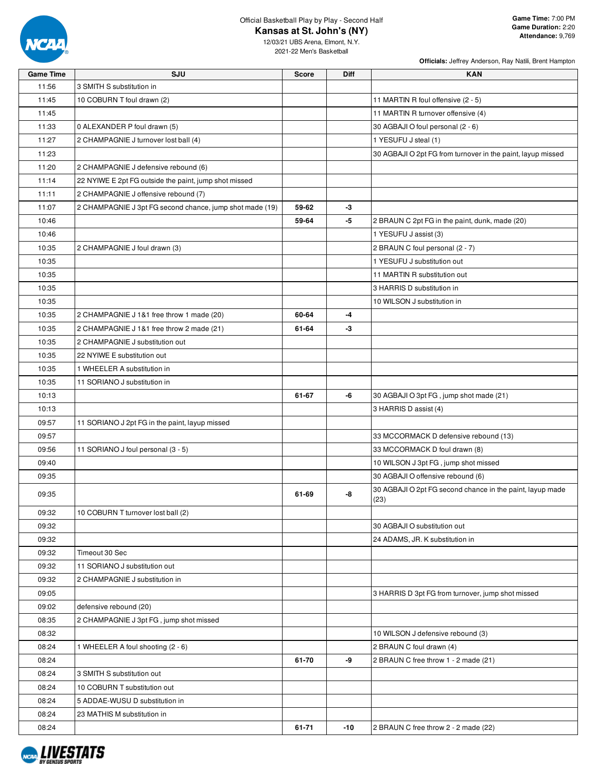

**Officials:** Jeffrey Anderson, Ray Natili, Brent Hampton

| <b>Game Time</b> | SJU                                                      | <b>Score</b> | Diff | <b>KAN</b>                                                  |
|------------------|----------------------------------------------------------|--------------|------|-------------------------------------------------------------|
| 11:56            | 3 SMITH S substitution in                                |              |      |                                                             |
| 11:45            | 10 COBURN T foul drawn (2)                               |              |      | 11 MARTIN R foul offensive (2 - 5)                          |
| 11:45            |                                                          |              |      | 11 MARTIN R turnover offensive (4)                          |
| 11:33            | 0 ALEXANDER P foul drawn (5)                             |              |      | 30 AGBAJI O foul personal (2 - 6)                           |
| 11:27            | 2 CHAMPAGNIE J turnover lost ball (4)                    |              |      | 1 YESUFU J steal (1)                                        |
| 11:23            |                                                          |              |      | 30 AGBAJI O 2pt FG from turnover in the paint, layup missed |
| 11:20            | 2 CHAMPAGNIE J defensive rebound (6)                     |              |      |                                                             |
| 11:14            | 22 NYIWE E 2pt FG outside the paint, jump shot missed    |              |      |                                                             |
| 11:11            | 2 CHAMPAGNIE J offensive rebound (7)                     |              |      |                                                             |
| 11:07            | 2 CHAMPAGNIE J 3pt FG second chance, jump shot made (19) | 59-62        | -3   |                                                             |
| 10:46            |                                                          | 59-64        | $-5$ | 2 BRAUN C 2pt FG in the paint, dunk, made (20)              |
| 10:46            |                                                          |              |      | 1 YESUFU J assist (3)                                       |
| 10:35            | 2 CHAMPAGNIE J foul drawn (3)                            |              |      | 2 BRAUN C foul personal (2 - 7)                             |
| 10:35            |                                                          |              |      | 1 YESUFU J substitution out                                 |
| 10:35            |                                                          |              |      | 11 MARTIN R substitution out                                |
| 10:35            |                                                          |              |      | 3 HARRIS D substitution in                                  |
| 10:35            |                                                          |              |      | 10 WILSON J substitution in                                 |
| 10:35            | 2 CHAMPAGNIE J 1&1 free throw 1 made (20)                | 60-64        | -4   |                                                             |
| 10:35            | 2 CHAMPAGNIE J 1&1 free throw 2 made (21)                | 61-64        | -3   |                                                             |
| 10:35            | 2 CHAMPAGNIE J substitution out                          |              |      |                                                             |
| 10:35            | 22 NYIWE E substitution out                              |              |      |                                                             |
| 10:35            | 1 WHEELER A substitution in                              |              |      |                                                             |
| 10:35            | 11 SORIANO J substitution in                             |              |      |                                                             |
| 10:13            |                                                          | 61-67        | -6   | 30 AGBAJI O 3pt FG, jump shot made (21)                     |
| 10:13            |                                                          |              |      | 3 HARRIS D assist (4)                                       |
| 09:57            | 11 SORIANO J 2pt FG in the paint, layup missed           |              |      |                                                             |
| 09:57            |                                                          |              |      | 33 MCCORMACK D defensive rebound (13)                       |
| 09:56            | 11 SORIANO J foul personal (3 - 5)                       |              |      | 33 MCCORMACK D foul drawn (8)                               |
| 09:40            |                                                          |              |      | 10 WILSON J 3pt FG, jump shot missed                        |
| 09:35            |                                                          |              |      | 30 AGBAJI O offensive rebound (6)                           |
| 09:35            |                                                          | 61-69        | -8   | 30 AGBAJI O 2pt FG second chance in the paint, layup made   |
|                  |                                                          |              |      | (23)                                                        |
| 09:32            | 10 COBURN T turnover lost ball (2)                       |              |      |                                                             |
| 09:32            |                                                          |              |      | 30 AGBAJI O substitution out                                |
| 09:32            |                                                          |              |      | 24 ADAMS, JR. K substitution in                             |
| 09:32            | Timeout 30 Sec                                           |              |      |                                                             |
| 09:32            | 11 SORIANO J substitution out                            |              |      |                                                             |
| 09:32            | 2 CHAMPAGNIE J substitution in                           |              |      |                                                             |
| 09:05            |                                                          |              |      | 3 HARRIS D 3pt FG from turnover, jump shot missed           |
| 09:02            | defensive rebound (20)                                   |              |      |                                                             |
| 08:35            | 2 CHAMPAGNIE J 3pt FG, jump shot missed                  |              |      |                                                             |
| 08:32            |                                                          |              |      | 10 WILSON J defensive rebound (3)                           |
| 08:24            | 1 WHEELER A foul shooting (2 - 6)                        |              |      | 2 BRAUN C foul drawn (4)                                    |
| 08:24            |                                                          | 61-70        | -9   | 2 BRAUN C free throw 1 - 2 made (21)                        |
| 08:24            | 3 SMITH S substitution out                               |              |      |                                                             |
| 08:24            | 10 COBURN T substitution out                             |              |      |                                                             |
| 08:24            | 5 ADDAE-WUSU D substitution in                           |              |      |                                                             |
| 08:24            | 23 MATHIS M substitution in                              |              |      |                                                             |
| 08:24            |                                                          | 61-71        | -10  | 2 BRAUN C free throw 2 - 2 made (22)                        |

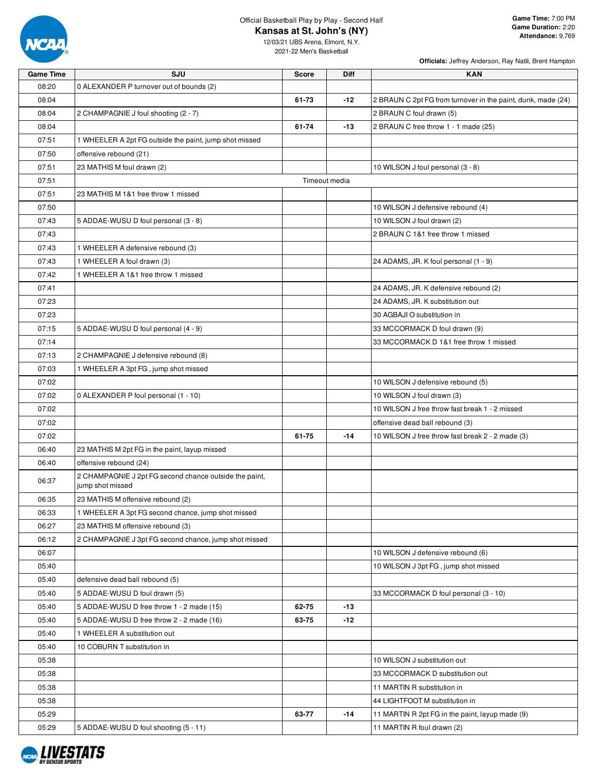

**Officials:** Jeffrey Anderson, Ray Natili, Brent Hampton

| <b>Game Time</b> | SJU                                                                        | <b>Score</b> | <b>Diff</b>   | <b>KAN</b>                                                   |
|------------------|----------------------------------------------------------------------------|--------------|---------------|--------------------------------------------------------------|
| 08:20            | 0 ALEXANDER P turnover out of bounds (2)                                   |              |               |                                                              |
| 08:04            |                                                                            | 61-73        | $-12$         | 2 BRAUN C 2pt FG from turnover in the paint, dunk, made (24) |
| 08:04            | 2 CHAMPAGNIE J foul shooting (2 - 7)                                       |              |               | 2 BRAUN C foul drawn (5)                                     |
| 08:04            |                                                                            | 61-74        | $-13$         | 2 BRAUN C free throw 1 - 1 made (25)                         |
| 07:51            | 1 WHEELER A 2pt FG outside the paint, jump shot missed                     |              |               |                                                              |
| 07:50            | offensive rebound (21)                                                     |              |               |                                                              |
| 07:51            | 23 MATHIS M foul drawn (2)                                                 |              |               | 10 WILSON J foul personal (3 - 8)                            |
| 07:51            |                                                                            |              | Timeout media |                                                              |
| 07:51            | 23 MATHIS M 1&1 free throw 1 missed                                        |              |               |                                                              |
| 07:50            |                                                                            |              |               | 10 WILSON J defensive rebound (4)                            |
| 07:43            | 5 ADDAE-WUSU D foul personal (3 - 8)                                       |              |               | 10 WILSON J foul drawn (2)                                   |
| 07:43            |                                                                            |              |               | 2 BRAUN C 1&1 free throw 1 missed                            |
| 07:43            | 1 WHEELER A defensive rebound (3)                                          |              |               |                                                              |
| 07:43            | 1 WHEELER A foul drawn (3)                                                 |              |               | 24 ADAMS, JR. K foul personal (1 - 9)                        |
| 07:42            | 1 WHEELER A 1&1 free throw 1 missed                                        |              |               |                                                              |
| 07:41            |                                                                            |              |               | 24 ADAMS, JR. K defensive rebound (2)                        |
|                  |                                                                            |              |               |                                                              |
| 07:23            |                                                                            |              |               | 24 ADAMS, JR. K substitution out                             |
| 07:23            |                                                                            |              |               | 30 AGBAJI O substitution in                                  |
| 07:15            | 5 ADDAE-WUSU D foul personal (4 - 9)                                       |              |               | 33 MCCORMACK D foul drawn (9)                                |
| 07:14            |                                                                            |              |               | 33 MCCORMACK D 1&1 free throw 1 missed                       |
| 07:13            | 2 CHAMPAGNIE J defensive rebound (8)                                       |              |               |                                                              |
| 07:03            | 1 WHEELER A 3pt FG, jump shot missed                                       |              |               |                                                              |
| 07:02            |                                                                            |              |               | 10 WILSON J defensive rebound (5)                            |
| 07:02            | 0 ALEXANDER P foul personal (1 - 10)                                       |              |               | 10 WILSON J foul drawn (3)                                   |
| 07:02            |                                                                            |              |               | 10 WILSON J free throw fast break 1 - 2 missed               |
| 07:02            |                                                                            |              |               | offensive dead ball rebound (3)                              |
| 07:02            |                                                                            | 61-75        | $-14$         | 10 WILSON J free throw fast break 2 - 2 made (3)             |
| 06:40            | 23 MATHIS M 2pt FG in the paint, layup missed                              |              |               |                                                              |
| 06:40            | offensive rebound (24)                                                     |              |               |                                                              |
| 06:37            | 2 CHAMPAGNIE J 2pt FG second chance outside the paint,<br>jump shot missed |              |               |                                                              |
| 06:35            | 23 MATHIS M offensive rebound (2)                                          |              |               |                                                              |
| 06:33            | 1 WHEELER A 3pt FG second chance, jump shot missed                         |              |               |                                                              |
| 06:27            | 23 MATHIS M offensive rebound (3)                                          |              |               |                                                              |
| 06:12            | 2 CHAMPAGNIE J 3pt FG second chance, jump shot missed                      |              |               |                                                              |
| 06:07            |                                                                            |              |               | 10 WILSON J defensive rebound (6)                            |
| 05:40            |                                                                            |              |               | 10 WILSON J 3pt FG, jump shot missed                         |
| 05:40            | defensive dead ball rebound (5)                                            |              |               |                                                              |
| 05:40            | 5 ADDAE-WUSU D foul drawn (5)                                              |              |               | 33 MCCORMACK D foul personal (3 - 10)                        |
| 05:40            | 5 ADDAE-WUSU D free throw 1 - 2 made (15)                                  | 62-75        | $-13$         |                                                              |
| 05:40            | 5 ADDAE-WUSU D free throw 2 - 2 made (16)                                  | 63-75        | $-12$         |                                                              |
| 05:40            | 1 WHEELER A substitution out                                               |              |               |                                                              |
| 05:40            | 10 COBURN T substitution in                                                |              |               |                                                              |
| 05:38            |                                                                            |              |               | 10 WILSON J substitution out                                 |
| 05:38            |                                                                            |              |               | 33 MCCORMACK D substitution out                              |
| 05:38            |                                                                            |              |               | 11 MARTIN R substitution in                                  |
| 05:38            |                                                                            |              |               | 44 LIGHTFOOT M substitution in                               |
| 05:29            |                                                                            | 63-77        | $-14$         | 11 MARTIN R 2pt FG in the paint, layup made (9)              |
| 05:29            | 5 ADDAE-WUSU D foul shooting (5 - 11)                                      |              |               | 11 MARTIN R foul drawn (2)                                   |

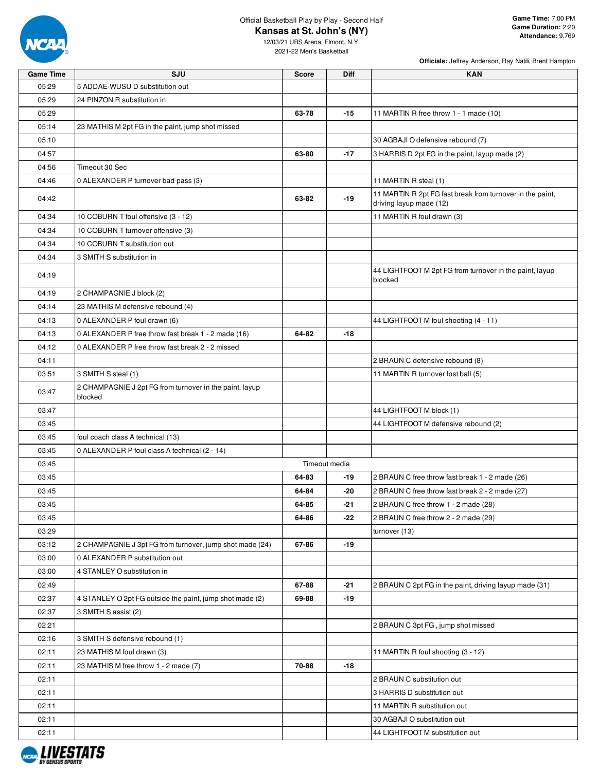

**Officials:** Jeffrey Anderson, Ray Natili, Brent Hampton

| <b>Game Time</b> | SJU                                                                | <b>Score</b>  | <b>Diff</b> | <b>KAN</b>                                                                           |
|------------------|--------------------------------------------------------------------|---------------|-------------|--------------------------------------------------------------------------------------|
| 05:29            | 5 ADDAE-WUSU D substitution out                                    |               |             |                                                                                      |
| 05:29            | 24 PINZON R substitution in                                        |               |             |                                                                                      |
| 05:29            |                                                                    | 63-78         | $-15$       | 11 MARTIN R free throw 1 - 1 made (10)                                               |
| 05:14            | 23 MATHIS M 2pt FG in the paint, jump shot missed                  |               |             |                                                                                      |
| 05:10            |                                                                    |               |             | 30 AGBAJI O defensive rebound (7)                                                    |
| 04:57            |                                                                    | 63-80         | $-17$       | 3 HARRIS D 2pt FG in the paint, layup made (2)                                       |
| 04:56            | Timeout 30 Sec                                                     |               |             |                                                                                      |
| 04:46            | 0 ALEXANDER P turnover bad pass (3)                                |               |             | 11 MARTIN R steal (1)                                                                |
| 04:42            |                                                                    | 63-82         | $-19$       | 11 MARTIN R 2pt FG fast break from turnover in the paint,<br>driving layup made (12) |
| 04:34            | 10 COBURN T foul offensive (3 - 12)                                |               |             | 11 MARTIN R foul drawn (3)                                                           |
| 04:34            | 10 COBURN T turnover offensive (3)                                 |               |             |                                                                                      |
| 04:34            | 10 COBURN T substitution out                                       |               |             |                                                                                      |
| 04:34            | 3 SMITH S substitution in                                          |               |             |                                                                                      |
| 04:19            |                                                                    |               |             | 44 LIGHTFOOT M 2pt FG from turnover in the paint, layup<br>blocked                   |
| 04:19            | 2 CHAMPAGNIE J block (2)                                           |               |             |                                                                                      |
| 04:14            | 23 MATHIS M defensive rebound (4)                                  |               |             |                                                                                      |
| 04:13            | 0 ALEXANDER P foul drawn (6)                                       |               |             | 44 LIGHTFOOT M foul shooting (4 - 11)                                                |
| 04:13            | 0 ALEXANDER P free throw fast break 1 - 2 made (16)                | 64-82         | $-18$       |                                                                                      |
| 04:12            | 0 ALEXANDER P free throw fast break 2 - 2 missed                   |               |             |                                                                                      |
| 04:11            |                                                                    |               |             | 2 BRAUN C defensive rebound (8)                                                      |
| 03:51            | 3 SMITH S steal (1)                                                |               |             | 11 MARTIN R turnover lost ball (5)                                                   |
| 03:47            | 2 CHAMPAGNIE J 2pt FG from turnover in the paint, layup<br>blocked |               |             |                                                                                      |
| 03:47            |                                                                    |               |             | 44 LIGHTFOOT M block (1)                                                             |
| 03:45            |                                                                    |               |             | 44 LIGHTFOOT M defensive rebound (2)                                                 |
| 03:45            | foul coach class A technical (13)                                  |               |             |                                                                                      |
| 03:45            | 0 ALEXANDER P foul class A technical (2 - 14)                      |               |             |                                                                                      |
| 03:45            |                                                                    | Timeout media |             |                                                                                      |
| 03:45            |                                                                    | 64-83         | -19         | 2 BRAUN C free throw fast break 1 - 2 made (26)                                      |
| 03:45            |                                                                    | 64-84         | -20         | 2 BRAUN C free throw fast break 2 - 2 made (27)                                      |
| 03:45            |                                                                    | 64-85         | $-21$       | 2 BRAUN C free throw 1 - 2 made (28)                                                 |
| 03:45            |                                                                    | 64-86         | -22         | 2 BRAUN C free throw 2 - 2 made (29)                                                 |
| 03:29            |                                                                    |               |             | turnover (13)                                                                        |
| 03:12            | 2 CHAMPAGNIE J 3pt FG from turnover, jump shot made (24)           | 67-86         | $-19$       |                                                                                      |
| 03:00            | 0 ALEXANDER P substitution out                                     |               |             |                                                                                      |
| 03:00            | 4 STANLEY O substitution in                                        |               |             |                                                                                      |
| 02:49            |                                                                    | 67-88         | -21         | 2 BRAUN C 2pt FG in the paint, driving layup made (31)                               |
| 02:37            | 4 STANLEY O 2pt FG outside the paint, jump shot made (2)           | 69-88         | $-19$       |                                                                                      |
| 02:37            | 3 SMITH S assist (2)                                               |               |             |                                                                                      |
| 02:21            |                                                                    |               |             | 2 BRAUN C 3pt FG, jump shot missed                                                   |
| 02:16            | 3 SMITH S defensive rebound (1)                                    |               |             |                                                                                      |
| 02:11            | 23 MATHIS M foul drawn (3)                                         |               |             | 11 MARTIN R foul shooting (3 - 12)                                                   |
| 02:11            | 23 MATHIS M free throw 1 - 2 made (7)                              | 70-88         | $-18$       |                                                                                      |
| 02:11            |                                                                    |               |             | 2 BRAUN C substitution out                                                           |
| 02:11            |                                                                    |               |             | 3 HARRIS D substitution out                                                          |
| 02:11            |                                                                    |               |             | 11 MARTIN R substitution out                                                         |
| 02:11            |                                                                    |               |             | 30 AGBAJI O substitution out                                                         |
| 02:11            |                                                                    |               |             | 44 LIGHTFOOT M substitution out                                                      |
|                  |                                                                    |               |             |                                                                                      |

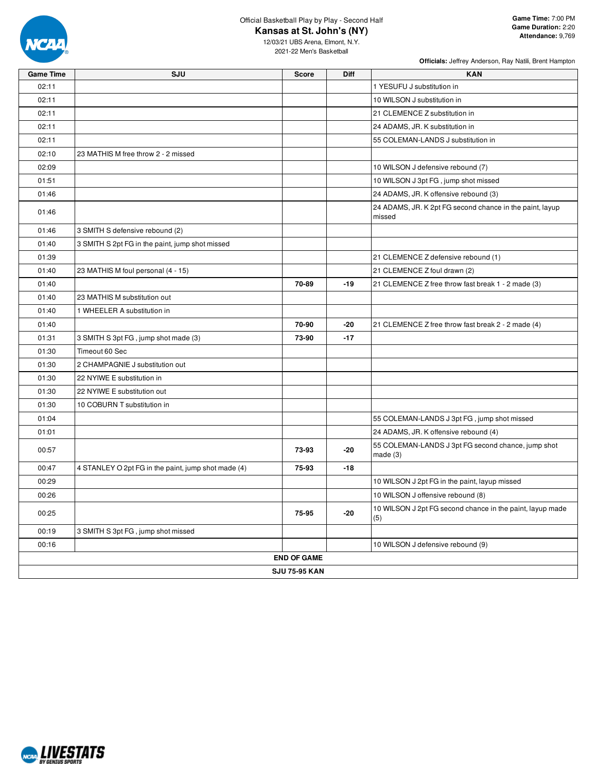

**Officials:** Jeffrey Anderson, Ray Natili, Brent Hampton

| <b>Game Time</b> | SJU                                                 | <b>Score</b>         | <b>Diff</b> | <b>KAN</b>                                                         |
|------------------|-----------------------------------------------------|----------------------|-------------|--------------------------------------------------------------------|
| 02:11            |                                                     |                      |             | 1 YESUFU J substitution in                                         |
| 02:11            |                                                     |                      |             | 10 WILSON J substitution in                                        |
| 02:11            |                                                     |                      |             | 21 CLEMENCE Z substitution in                                      |
| 02:11            |                                                     |                      |             | 24 ADAMS, JR. K substitution in                                    |
| 02:11            |                                                     |                      |             | 55 COLEMAN-LANDS J substitution in                                 |
| 02:10            | 23 MATHIS M free throw 2 - 2 missed                 |                      |             |                                                                    |
| 02:09            |                                                     |                      |             | 10 WILSON J defensive rebound (7)                                  |
| 01:51            |                                                     |                      |             | 10 WILSON J 3pt FG, jump shot missed                               |
| 01:46            |                                                     |                      |             | 24 ADAMS, JR. K offensive rebound (3)                              |
| 01:46            |                                                     |                      |             | 24 ADAMS, JR. K 2pt FG second chance in the paint, layup<br>missed |
| 01:46            | 3 SMITH S defensive rebound (2)                     |                      |             |                                                                    |
| 01:40            | 3 SMITH S 2pt FG in the paint, jump shot missed     |                      |             |                                                                    |
| 01:39            |                                                     |                      |             | 21 CLEMENCE Z defensive rebound (1)                                |
| 01:40            | 23 MATHIS M foul personal (4 - 15)                  |                      |             | 21 CLEMENCE Z foul drawn (2)                                       |
| 01:40            |                                                     | 70-89                | $-19$       | 21 CLEMENCE Z free throw fast break 1 - 2 made (3)                 |
| 01:40            | 23 MATHIS M substitution out                        |                      |             |                                                                    |
| 01:40            | 1 WHEELER A substitution in                         |                      |             |                                                                    |
| 01:40            |                                                     | 70-90                | $-20$       | 21 CLEMENCE Z free throw fast break 2 - 2 made (4)                 |
| 01:31            | 3 SMITH S 3pt FG, jump shot made (3)                | 73-90                | $-17$       |                                                                    |
| 01:30            | Timeout 60 Sec                                      |                      |             |                                                                    |
| 01:30            | 2 CHAMPAGNIE J substitution out                     |                      |             |                                                                    |
| 01:30            | 22 NYIWE E substitution in                          |                      |             |                                                                    |
| 01:30            | 22 NYIWE E substitution out                         |                      |             |                                                                    |
| 01:30            | 10 COBURN T substitution in                         |                      |             |                                                                    |
| 01:04            |                                                     |                      |             | 55 COLEMAN-LANDS J 3pt FG, jump shot missed                        |
| 01:01            |                                                     |                      |             | 24 ADAMS, JR. K offensive rebound (4)                              |
| 00:57            |                                                     | 73-93                | $-20$       | 55 COLEMAN-LANDS J 3pt FG second chance, jump shot<br>made(3)      |
| 00:47            | 4 STANLEY O 2pt FG in the paint, jump shot made (4) | 75-93                | $-18$       |                                                                    |
| 00:29            |                                                     |                      |             | 10 WILSON J 2pt FG in the paint, layup missed                      |
| 00:26            |                                                     |                      |             | 10 WILSON J offensive rebound (8)                                  |
| 00:25            |                                                     | 75-95                | $-20$       | 10 WILSON J 2pt FG second chance in the paint, layup made<br>(5)   |
| 00:19            | 3 SMITH S 3pt FG, jump shot missed                  |                      |             |                                                                    |
| 00:16            |                                                     |                      |             | 10 WILSON J defensive rebound (9)                                  |
|                  |                                                     | <b>END OF GAME</b>   |             |                                                                    |
|                  |                                                     | <b>SJU 75-95 KAN</b> |             |                                                                    |

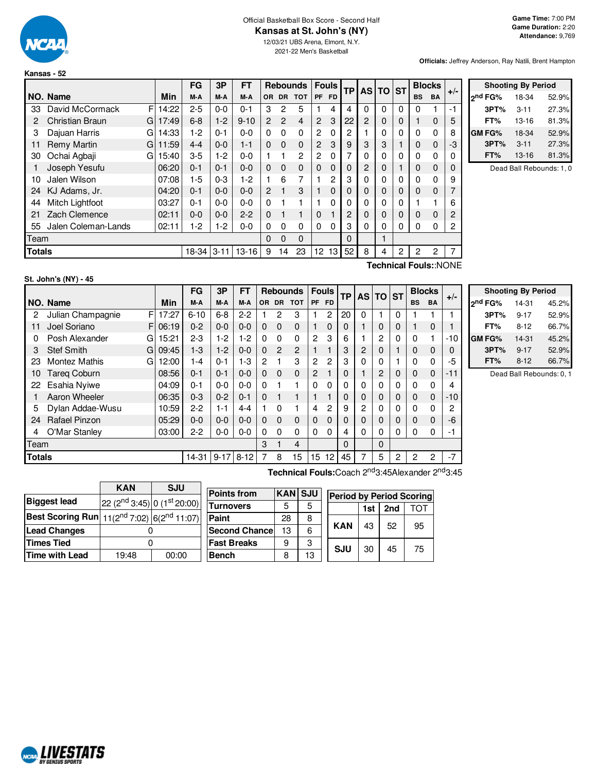

#### Official Basketball Box Score - Second Half **Kansas at St. John's (NY)**

12/03/21 UBS Arena, Elmont, N.Y. 2021-22 Men's Basketball

**Officials:** Jeffrey Anderson, Ray Natili, Brent Hampton

**Shooting By Period 2 nd FG%** 18-34 52.9% **3PT%** 3-11 27.3% **FT%** 13-16 81.3% **GM FG%** 18-34 52.9% **3PT%** 3-11 27.3% **FT%** 13-16 81.3% Dead Ball Rebounds: 1, 0

|                                                 |                        |             | FG      | 3P      | FT       |                         |                | <b>Rebounds</b> |                | <b>Fouls</b> | <b>TP</b>   | <b>AS</b> | <b>TO</b>   | <b>ST</b> |             | <b>Blocks</b> | $+/-$ |
|-------------------------------------------------|------------------------|-------------|---------|---------|----------|-------------------------|----------------|-----------------|----------------|--------------|-------------|-----------|-------------|-----------|-------------|---------------|-------|
|                                                 | NO. Name               | Min         | M-A     | M-A     | M-A      | OR.                     |                | DR TOT          | <b>PF</b>      | <b>FD</b>    |             |           |             |           | <b>BS</b>   | <b>BA</b>     |       |
| 33                                              | David McCormack        | F<br>14:22  | $2 - 5$ | $0 - 0$ | $0 - 1$  | 3                       | 2              | 5               | 1              | 4            | 4           | 0         | 0           | 0         | 0           |               | -1    |
| 2                                               | <b>Christian Braun</b> | 17:49<br>GI | $6 - 8$ | $1-2$   | $9 - 10$ | $\mathbf{P}$            | $\overline{2}$ | 4               | $\overline{2}$ | 3            | 22          | 2         | 0           | 0         | 1           | $\Omega$      | 5     |
| 3                                               | Dajuan Harris          | 14:33<br>G  | $1-2$   | $0 - 1$ | $0 - 0$  | $\Omega$                | $\Omega$       | 0               | $\overline{c}$ | 0            | 2           |           | 0           | 0         | 0           | $\Omega$      | 8     |
| 11                                              | Remy Martin<br>G       | 11:59       | $4 - 4$ | $0 - 0$ | $1 - 1$  | $\Omega$                | $\Omega$       | $\Omega$        | $\overline{2}$ | 3            | 9           | 3         | 3           |           | $\Omega$    | $\Omega$      | -3    |
| 30                                              | Ochai Agbaji           | 15:40<br>G. | $3-5$   | $1-2$   | $0 - 0$  |                         | 1              | $\overline{2}$  | 2              | 0            | 7           | 0         | 0           | 0         | 0           | 0             | 0     |
|                                                 | Joseph Yesufu          | 06:20       | $0 - 1$ | $0 - 1$ | $0 - 0$  | $\Omega$                | $\Omega$       | 0               | $\Omega$       | $\Omega$     | $\mathbf 0$ | 2         | $\mathbf 0$ |           | 0           | $\Omega$      | 0     |
| 10                                              | Jalen Wilson           | 07:08       | $1-5$   | $0 - 3$ | $1-2$    | 1.                      | 6              | 7               | 1              | 2            | 3           | 0         | $\Omega$    | 0         | 0           | $\mathbf{0}$  | 9     |
| 24                                              | KJ Adams, Jr.          | 04:20       | $0 - 1$ | $0 - 0$ | $0 - 0$  | $\mathbf{P}$            | 1              | 3               |                | 0            | $\Omega$    | 0         | 0           | 0         | $\mathbf 0$ | $\Omega$      | 7     |
| 44                                              | Mitch Lightfoot        | 03:27       | $0 - 1$ | $0 - 0$ | $0 - 0$  | 0                       | 1              | 1               | 1              | 0            | 0           | 0         | 0           | 0         |             |               | 6     |
| 21                                              | Zach Clemence          | 02:11       | $0 - 0$ | $0 - 0$ | $2 - 2$  | $\Omega$                | 1              | 1               | $\Omega$       |              | 2           | 0         | $\mathbf 0$ | 0         | $\mathbf 0$ | $\mathbf{0}$  | 2     |
| 55                                              | Jalen Coleman-Lands    | 02:11       | 1-2     | 1-2     | $0 - 0$  | 0                       | 0              | 0               | $\Omega$       | 0            | 3           | 0         | 0           | 0         | 0           | $\Omega$      | 2     |
| Team                                            |                        |             |         |         |          |                         | $\Omega$       | $\Omega$        |                |              | $\Omega$    |           | 1           |           |             |               |       |
| 18-34<br>$13 - 16$<br>$3 - 11$<br><b>Totals</b> |                        |             |         |         |          |                         | 14             | 23              | 12             | 13           | 52          | 8         | 4           | 2         | 2           | 2             | 7     |
|                                                 |                        |             |         |         |          | 9<br>-<br>-<br>$\cdots$ |                |                 |                |              |             |           |             |           |             |               |       |

# **St. John's (NY) - 45**

**Technical Fouls:**:NONE

|               |                            |       | FG       | 3P       | FT      |                | <b>Rebounds</b> |            |                | <b>Fouls</b> | <b>TP</b> |             | AS TO ST       |             | <b>Blocks</b> |           |       |  |
|---------------|----------------------------|-------|----------|----------|---------|----------------|-----------------|------------|----------------|--------------|-----------|-------------|----------------|-------------|---------------|-----------|-------|--|
|               | NO. Name                   | Min   | M-A      | M-A      | M-A     | 0R             | <b>DR</b>       | <b>TOT</b> | <b>PF</b>      | <b>FD</b>    |           |             |                |             | <b>BS</b>     | <b>BA</b> | $+/-$ |  |
| 2             | Julian Champagnie<br>FI    | 17:27 | $6 - 10$ | $6 - 8$  | $2 - 2$ |                | 2               | 3          |                | 2            | 20        | 0           |                | 0           |               |           |       |  |
|               | Joel Soriano<br>FI         | 06:19 | $0 - 2$  | $0 - 0$  | $0 - 0$ | $\Omega$       | 0               | 0          |                | $\Omega$     | $\Omega$  |             | 0              | $\Omega$    |               | 0         |       |  |
| 0             | Posh Alexander<br>GI       | 15:21 | $2-3$    | $1-2$    | $1-2$   | 0              | $\Omega$        | 0          | $\mathbf{2}$   | 3            | 6         |             | 2              | $\Omega$    | 0             | 1         | -10   |  |
| 3             | <b>Stef Smith</b><br>GI    | 09:45 | $1-3$    | $1 - 2$  | $0 - 0$ | $\Omega$       | $\overline{c}$  | 2          |                |              | 3         | 2           | 0              |             | 0             | 0         | 0     |  |
| 23            | <b>Montez Mathis</b><br>GI | 12:00 | $1 - 4$  | $0 - 1$  | $1-3$   | $\overline{c}$ |                 | 3          | 2              | 2            | 3         | 0           | 0              |             | 0             | 0         | -5    |  |
| 10            | <b>Tareg Coburn</b>        | 08:56 | $0 - 1$  | $0 - 1$  | $0 - 0$ | $\Omega$       | 0               | $\Omega$   | $\overline{c}$ |              | 0         |             | 2              | $\mathbf 0$ | 0             | 0         | -11   |  |
| 22            | Esahia Nyiwe               | 04:09 | $0 - 1$  | $0 - 0$  | $0 - 0$ | 0              |                 |            | $\Omega$       | $\Omega$     | 0         | 0           | 0              | $\Omega$    | 0             | 0         | 4     |  |
|               | Aaron Wheeler              | 06:35 | $0 - 3$  | $0 - 2$  | $0 - 1$ | $\Omega$       |                 |            |                |              | 0         | $\Omega$    | $\Omega$       | $\Omega$    | 0             | 0         | $-10$ |  |
| 5             | Dylan Addae-Wusu           | 10:59 | $2 - 2$  | $1 - 1$  | $4 - 4$ |                | 0               |            | 4              | 2            | 9         | 2           | $\mathbf{0}$   | $\Omega$    | 0             | 0         | 2     |  |
| 24            | <b>Rafael Pinzon</b>       | 05:29 | $0-0$    | $0 - 0$  | $0 - 0$ | $\Omega$       | $\Omega$        | 0          | $\Omega$       | $\Omega$     | 0         | $\mathbf 0$ | $\Omega$       | $\Omega$    | 0             | 0         | -6    |  |
| 4             | O'Mar Stanley              | 03:00 | $2-2$    | $0 - 0$  | $0-0$   | 0              | 0               | 0          | $\Omega$       | 0            | 4         | 0           | 0              | $\Omega$    | 0             | 0         | -1    |  |
| Team          |                            |       |          |          | 3       |                | 4               |            |                | $\Omega$     |           | $\Omega$    |                |             |               |           |       |  |
| <b>Totals</b> |                            | 14-31 | $9 - 17$ | $8 - 12$ |         | 8              | 15              | 15         | 12             | 45           |           | 5           | $\overline{2}$ | 2           | 2             | $-7$      |       |  |

|                     | <b>Shooting By Period</b> |       |
|---------------------|---------------------------|-------|
| 2 <sup>nd</sup> FG% | 14-31                     | 45.2% |
| 3PT%                | $9 - 17$                  | 52.9% |
| FT%                 | $8 - 12$                  | 66.7% |
| GM FG%              | 14-31                     | 45.2% |
| 3PT%                | $9 - 17$                  | 52.9% |
| FT%                 | $8 - 12$                  | 66.7% |
|                     |                           |       |

Dead Ball Rebounds: 0, 1

**Technical Fouls:**Coach 2 nd3:45Alexander 2 nd3:45

|                                                                      | <b>KAN</b>                                          | <b>SJU</b> |  |  |  |  |  |
|----------------------------------------------------------------------|-----------------------------------------------------|------------|--|--|--|--|--|
| <b>Biggest lead</b>                                                  | 22 (2 <sup>nd</sup> 3:45) 0 (1 <sup>st</sup> 20:00) |            |  |  |  |  |  |
| <b>Best Scoring Run</b> 11(2 <sup>nd</sup> 7:02) $ 6(2^{nd} 11:07) $ |                                                     |            |  |  |  |  |  |
| Lead Changes                                                         |                                                     |            |  |  |  |  |  |
| <b>Times Tied</b>                                                    |                                                     |            |  |  |  |  |  |
| Time with Lead                                                       | 19:48                                               | 00:00      |  |  |  |  |  |

| <b>Points from</b>    | <b>KAN</b> | <b>SJU</b> | <b>Period by Period Scoring</b> |            |     |     |     |  |  |  |  |
|-----------------------|------------|------------|---------------------------------|------------|-----|-----|-----|--|--|--|--|
| Turnovers             | 5          |            |                                 |            | 1st | 2nd | ΓΩΤ |  |  |  |  |
| Paint                 | 28         | 8          |                                 |            |     |     |     |  |  |  |  |
| <b>Second Chancel</b> | 13         | 6          |                                 | <b>KAN</b> | 43  | 52  | 95  |  |  |  |  |
| <b>Fast Breaks</b>    | 9          | 3          |                                 | SJU        |     | 45  | 75  |  |  |  |  |
| Bench                 |            | 13         |                                 |            | 30  |     |     |  |  |  |  |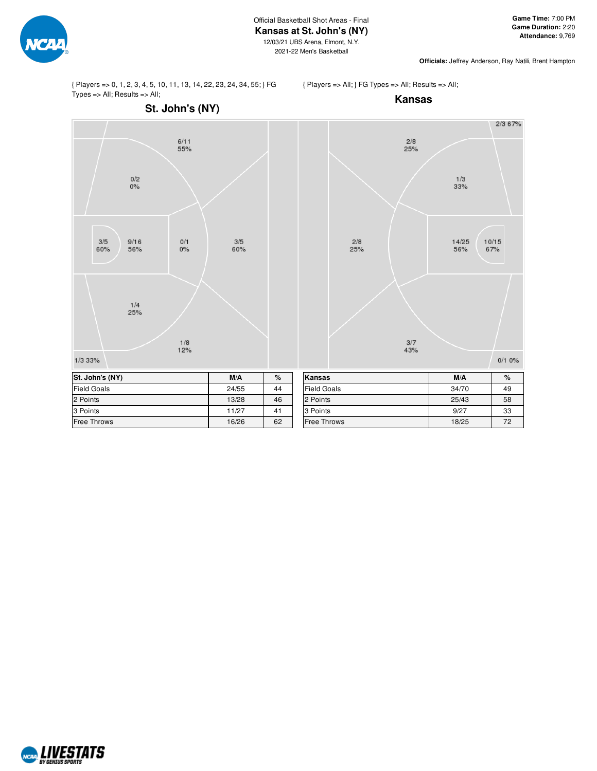

**Officials:** Jeffrey Anderson, Ray Natili, Brent Hampton

{ Players => 0, 1, 2, 3, 4, 5, 10, 11, 13, 14, 22, 23, 24, 34, 55; } FG Types => All; Results => All;

# { Players => All; } FG Types => All; Results => All; **Kansas**



Free Throws 16/26 62



| nansas             | W/A   | $7^\circ$ |
|--------------------|-------|-----------|
| <b>Field Goals</b> | 34/70 | 49        |
| 2 Points           | 25/43 | 58        |
| 3 Points           | 9/27  | 33        |
| <b>Free Throws</b> | 18/25 | 72        |

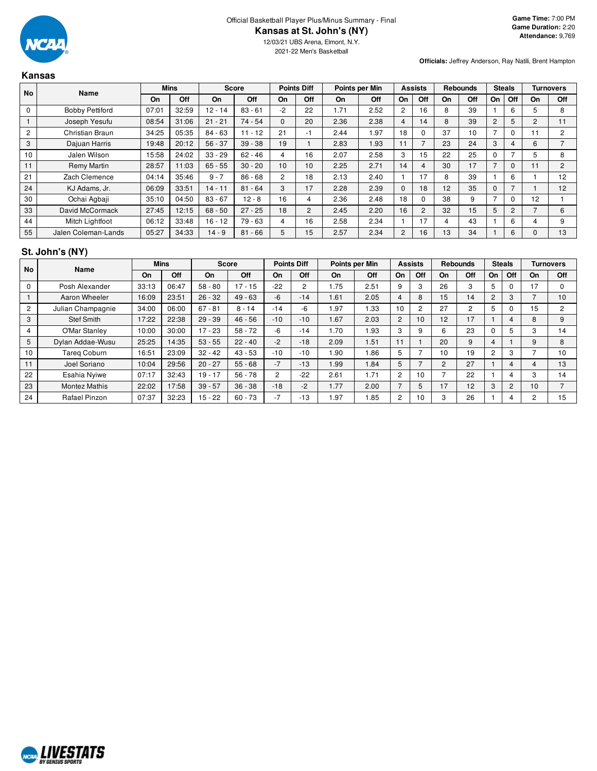

**Officials:** Jeffrey Anderson, Ray Natili, Brent Hampton

| <b>Kansas</b> |                        |       |             |           |              |                 |                    |      |                |                |                |                 |     |               |                |                |                  |
|---------------|------------------------|-------|-------------|-----------|--------------|-----------------|--------------------|------|----------------|----------------|----------------|-----------------|-----|---------------|----------------|----------------|------------------|
| No            | <b>Name</b>            |       | <b>Mins</b> |           | <b>Score</b> |                 | <b>Points Diff</b> |      | Points per Min |                | <b>Assists</b> | <b>Rebounds</b> |     | <b>Steals</b> |                |                | <b>Turnovers</b> |
|               |                        | On    | Off         | On        | <b>Off</b>   | On              | Off                | On   | Off            | On             | Off            | On              | Off | On            | Off            | On             | Off              |
| 0             | <b>Bobby Pettiford</b> | 07:01 | 32:59       | $12 - 14$ | $83 - 61$    | $-2$            | 22                 | 1.71 | 2.52           | $\overline{2}$ | 16             | 8               | 39  |               | 6              | 5.             | 8                |
|               | Joseph Yesufu          | 08:54 | 31:06       | $21 - 21$ | $74 - 54$    | $\Omega$        | 20                 | 2.36 | 2.38           | $\overline{4}$ | 14             | 8               | 39  | 2             | 5              | $\overline{2}$ | 11               |
| 2             | Christian Braun        | 34:25 | 05:35       | $84 - 63$ | $11 - 12$    | 21              | -1                 | 2.44 | 1.97           | 18             | 0              | 37              | 10  |               | $\Omega$       | 11             | $\overline{c}$   |
| 3             | Dajuan Harris          | 19:48 | 20:12       | $56 - 37$ | $39 - 38$    | 19              |                    | 2.83 | 1.93           | 11             | 7              | 23              | 24  | 3             | 4              | 6              | $\overline{ }$   |
| 10            | Jalen Wilson           | 15:58 | 24:02       | $33 - 29$ | $62 - 46$    | 4               | 16                 | 2.07 | 2.58           | 3              | 15             | 22              | 25  | $\Omega$      | $\overline{ }$ | 5              | 8                |
| 11            | Remy Martin            | 28:57 | 11:03       | $65 - 55$ | $30 - 20$    | 10 <sup>1</sup> | 10                 | 2.25 | 2.71           | 14             | 4              | 30              | 17  |               | $\Omega$       |                | 2                |
| 21            | Zach Clemence          | 04:14 | 35:46       | $9 - 7$   | $86 - 68$    | $\overline{2}$  | 18                 | 2.13 | 2.40           |                | 17             | 8               | 39  |               | 6              |                | 12               |
| 24            | KJ Adams, Jr.          | 06:09 | 33:51       | $14 - 11$ | $81 - 64$    | 3               | 17                 | 2.28 | 2.39           | $\Omega$       | 18             | 12              | 35  | $\Omega$      | $\overline{ }$ |                | 12               |
| 30            | Ochai Agbaji           | 35:10 | 04:50       | $83 - 67$ | $12 - 8$     | 16              | 4                  | 2.36 | 2.48           | 18             | 0              | 38              | 9   |               | $\Omega$       | 12             |                  |
| 33            | David McCormack        | 27:45 | 12:15       | $68 - 50$ | $27 - 25$    | 18              | 2                  | 2.45 | 2.20           | 16             | $\overline{2}$ | 32              | 15  | 5             | $\overline{2}$ | 7              | 6                |
| 44            | Mitch Lightfoot        | 06:12 | 33:48       | $16 - 12$ | $79 - 63$    | 4               | 16                 | 2.58 | 2.34           |                | 17             | 4               | 43  |               | 6              | 4              | 9                |
| 55            | Jalen Coleman-Lands    | 05:27 | 34:33       | $14 - 9$  | $81 - 66$    | 5               | 15                 | 2.57 | 2.34           | $\overline{2}$ | 16             | 13              | 34  |               | 6              | 0              | 13               |

# **St. John's (NY)**

| <b>No</b>      | Name                 |       | <b>Mins</b> |           | <b>Score</b> | <b>Points Diff</b> |       |      | Points per Min |                | <b>Assists</b> |                 | <b>Rebounds</b> | <b>Steals</b>  |     |    | <b>Turnovers</b> |
|----------------|----------------------|-------|-------------|-----------|--------------|--------------------|-------|------|----------------|----------------|----------------|-----------------|-----------------|----------------|-----|----|------------------|
|                |                      | On    | Off         | On        | Off          | On                 | Off   | On   | <b>Off</b>     | On             | Off            | On              | Off             | On             | Off | On | Off              |
| 0              | Posh Alexander       | 33:13 | 06:47       | $58 - 80$ | $17 - 15$    | $-22$              | 2     | .75  | 2.51           | 9              | 3              | 26              | 3               | 5              | 0   | 17 | $\Omega$         |
|                | Aaron Wheeler        | 16:09 | 23:51       | $26 - 32$ | $49 - 63$    | $-6$               | $-14$ | 1.61 | 2.05           | 4              | 8              | 15              | 14              | $\overline{2}$ | 3   |    | 10               |
| $\overline{2}$ | Julian Champagnie    | 34:00 | 06:00       | $67 - 81$ | $8 - 14$     | $-14$              | -6    | i.97 | .33            | 10             | $\overline{2}$ | 27              | $\overline{c}$  | 5              |     | 15 | $\overline{2}$   |
| 3              | <b>Stef Smith</b>    | 17:22 | 22:38       | $29 - 39$ | $46 - 56$    | $-10$              | $-10$ | 1.67 | 2.03           | 2              | 10             | 12 <sup>°</sup> | 17              |                | 4   | 8  | 9                |
| 4              | O'Mar Stanley        | 10:00 | 30:00       | $17 - 23$ | $58 - 72$    | $-6$               | $-14$ | 1.70 | l 93           | 3              | 9              | հ               | 23              | O              | 5   | З  | 14               |
| 5              | Dylan Addae-Wusu     | 25:25 | 14:35       | $53 - 55$ | $22 - 40$    | $-2$               | $-18$ | 2.09 | 1.51           | 11             |                | 20              | 9               | 4              |     | 9  | 8                |
| 10             | Tareg Coburn         | 16:51 | 23:09       | $32 - 42$ | $43 - 53$    | $-10$              | $-10$ | .90  | 86.1           | 5              |                | 10 <sup>1</sup> | 19              | 2              | 3   |    | 10               |
| 11             | Joel Soriano         | 10:04 | 29:56       | $20 - 27$ | $55 - 68$    | $-7$               | $-13$ | 1.99 | 1.84           | 5              |                | 2               | 27              |                | 4   | 4  | 13               |
| 22             | Esahia Nyiwe         | 07:17 | 32:43       | $19 - 17$ | $56 - 78$    | $\overline{2}$     | $-22$ | 2.61 | 1.71           | 2              | 10             |                 | 22              |                | 4   | З  | 14               |
| 23             | <b>Montez Mathis</b> | 22:02 | 17:58       | $39 - 57$ | $36 - 38$    | $-18$              | $-2$  | 1.77 | 2.00           |                | 5              | 17              | 12              | 3              | 2   | 10 |                  |
| 24             | Rafael Pinzon        | 07:37 | 32:23       | $15 - 22$ | $60 - 73$    | $-7$               | $-13$ | i.97 | .85            | $\overline{2}$ | 10             | 3               | 26              |                | 4   | C  | 15               |

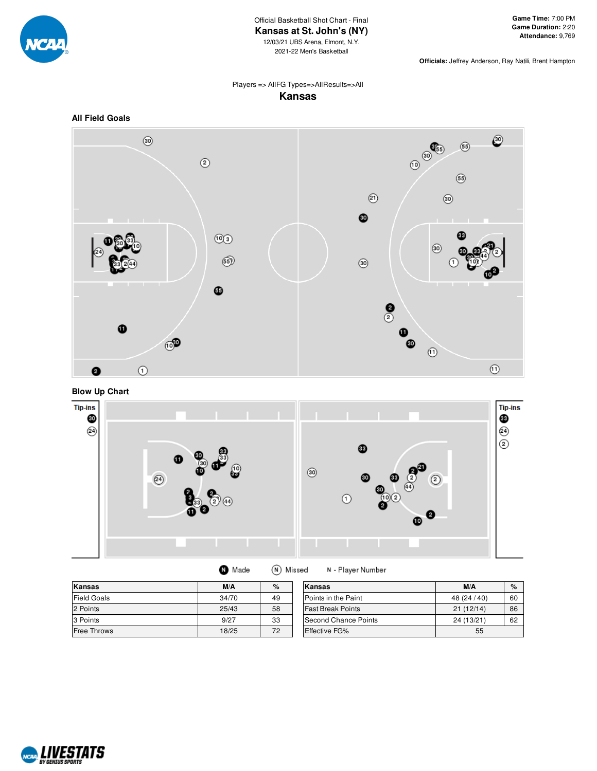

**Officials:** Jeffrey Anderson, Ray Natili, Brent Hampton

# Players => AllFG Types=>AllResults=>All **Kansas**



# **Blow Up Chart**



| <b>O</b> Made | (N) Missed |
|---------------|------------|
|               |            |

N - Player Number

| <b>Kansas</b>      | M/A   | $\%$ | Kansas                   | M/A          | $\%$ |
|--------------------|-------|------|--------------------------|--------------|------|
| <b>Field Goals</b> | 34/70 | 49   | Points in the Paint      | 48 (24 / 40) | 60   |
| 2 Points           | 25/43 | 58   | <b>Fast Break Points</b> | 21(12/14)    | 86   |
| 3 Points           | 9/27  | 33   | Second Chance Points     | 24 (13/21)   | 62   |
| <b>Free Throws</b> | 18/25 | 72   | <b>Effective FG%</b>     | 55           |      |

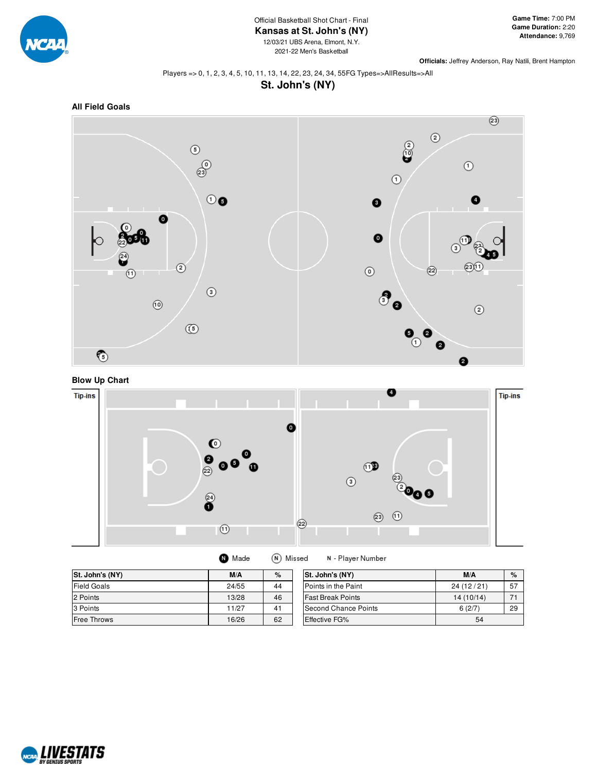

**Officials:** Jeffrey Anderson, Ray Natili, Brent Hampton

 $\circled{3}$ 

 $\circledcirc$ 

### Players => 0, 1, 2, 3, 4, 5, 10, 11, 13, 14, 22, 23, 24, 34, 55FG Types=>AllResults=>All **St. John's (NY)**







 $\odot$ 

 $^\copyright$ 

 $\circledS$ 



| St. John's (NY)    | M/A   | $\%$ | St. John's (NY)          | M/A       | $\%$ |
|--------------------|-------|------|--------------------------|-----------|------|
| <b>Field Goals</b> | 24/55 | 44   | Points in the Paint      | 24(12/21) | 57   |
| 2 Points           | 13/28 | 46   | <b>Fast Break Points</b> | 14(10/14) | 71   |
| 3 Points           | 11/27 | 41   | Second Chance Points     | 6(2/7)    | 29   |
| <b>Free Throws</b> | 16/26 | 62   | <b>Effective FG%</b>     | 54        |      |

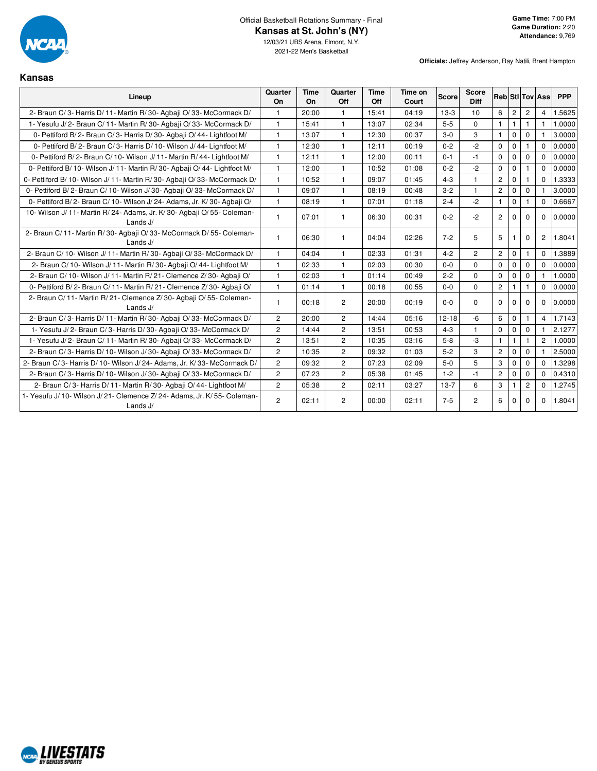

**Kansas**

| Lineup                                                                               | Quarter<br>On  | Time<br>On | Quarter<br>Off | <b>Time</b><br>Off | Time on<br>Court | <b>Score</b> | <b>Score</b><br><b>Diff</b> |                |                |                | <b>Reb</b> StilTov Ass | <b>PPP</b> |
|--------------------------------------------------------------------------------------|----------------|------------|----------------|--------------------|------------------|--------------|-----------------------------|----------------|----------------|----------------|------------------------|------------|
| 2- Braun C/3- Harris D/11- Martin R/30- Agbaii O/33- McCormack D/                    | $\mathbf{1}$   | 20:00      | $\overline{1}$ | 15:41              | 04:19            | $13-3$       | 10                          | 6              | $\overline{c}$ | $\mathbf{2}$   | $\overline{4}$         | 1.5625     |
| 1- Yesufu J/2- Braun C/11- Martin R/30- Agbaii O/33- McCormack D/                    | $\mathbf{1}$   | 15:41      | $\mathbf{1}$   | 13:07              | 02:34            | $5-5$        | $\mathbf{0}$                | $\mathbf{1}$   | $\mathbf{1}$   | $\mathbf{1}$   | $\mathbf{1}$           | 1.0000     |
| 0- Pettiford B/2- Braun C/3- Harris D/30- Agbaii O/44- Lightfoot M/                  | $\mathbf{1}$   | 13:07      | $\overline{1}$ | 12:30              | 00:37            | $3 - 0$      | 3                           | $\mathbf{1}$   | $\mathbf{0}$   | $\mathbf 0$    |                        | 3.0000     |
| 0- Pettiford B/2- Braun C/3- Harris D/10- Wilson J/44- Lightfoot M/                  | $\mathbf{1}$   | 12:30      | $\mathbf{1}$   | 12:11              | 00:19            | $0 - 2$      | $-2$                        | $\mathbf 0$    | $\mathbf 0$    | 1              | $\Omega$               | 0.0000     |
| 0- Pettiford B/2- Braun C/10- Wilson J/11- Martin R/44- Lightfoot M/                 | $\mathbf{1}$   | 12:11      | $\overline{1}$ | 12:00              | 00:11            | $0 - 1$      | $-1$                        | $\mathbf 0$    | $\Omega$       | $\mathbf 0$    | $\Omega$               | 0.0000     |
| 0- Pettiford B/ 10- Wilson J/ 11- Martin R/ 30- Agbaji O/ 44- Lightfoot M/           | $\mathbf{1}$   | 12:00      | $\mathbf{1}$   | 10:52              | 01:08            | $0 - 2$      | $-2$                        | $\Omega$       | $\mathbf 0$    | 1              | $\Omega$               | 0.0000     |
| 0- Pettiford B/ 10- Wilson J/ 11- Martin R/ 30- Agbaji O/ 33- McCormack D/           | $\mathbf{1}$   | 10:52      | $\overline{1}$ | 09:07              | 01:45            | $4 - 3$      | $\mathbf{1}$                | $\mathbf{2}$   | $\Omega$       |                | $\Omega$               | 1.3333     |
| 0- Pettiford B/2- Braun C/10- Wilson J/30- Agbaji O/33- McCormack D/                 | $\mathbf{1}$   | 09:07      | $\mathbf{1}$   | 08:19              | 00:48            | $3 - 2$      | $\mathbf{1}$                | $\overline{2}$ | $\mathbf 0$    | $\mathbf 0$    |                        | 3.0000     |
| 0- Pettiford B/2- Braun C/10- Wilson J/24- Adams, Jr. K/30- Agbaji O/                | $\mathbf{1}$   | 08:19      | $\mathbf{1}$   | 07:01              | 01:18            | $2 - 4$      | $-2$                        | $\mathbf{1}$   | $\mathbf{0}$   |                | $\Omega$               | 0.6667     |
| 10- Wilson J/ 11- Martin R/ 24- Adams, Jr. K/ 30- Agbaii O/ 55- Coleman-<br>Lands J/ | $\mathbf{1}$   | 07:01      | $\mathbf{1}$   | 06:30              | 00:31            | $0 - 2$      | $-2$                        | $\overline{2}$ | $\Omega$       | $\Omega$       | $\Omega$               | 0.0000     |
| 2- Braun C/ 11- Martin R/ 30- Agbaii O/ 33- McCormack D/ 55- Coleman-<br>Lands J/    | $\mathbf{1}$   | 06:30      | $\mathbf{1}$   | 04:04              | 02:26            | $7 - 2$      | 5                           | 5              |                | 0              | $\overline{c}$         | 1.8041     |
| 2- Braun C/ 10- Wilson J/ 11- Martin R/ 30- Agbaji O/ 33- McCormack D/               | $\mathbf{1}$   | 04:04      | $\overline{1}$ | 02:33              | 01:31            | $4 - 2$      | $\overline{c}$              | $\overline{2}$ | $\mathbf{0}$   | $\mathbf{1}$   | $\Omega$               | 1.3889     |
| 2- Braun C/ 10- Wilson J/ 11- Martin R/ 30- Agbaji O/ 44- Lightfoot M/               | $\mathbf{1}$   | 02:33      | $\overline{1}$ | 02:03              | 00:30            | $0-0$        | $\mathbf 0$                 | $\Omega$       | $\mathbf{0}$   | $\mathbf 0$    | $\Omega$               | 0.0000     |
| 2- Braun C/ 10- Wilson J/ 11- Martin R/ 21- Clemence Z/ 30- Agbaji O/                | $\mathbf{1}$   | 02:03      | $\overline{1}$ | 01:14              | 00:49            | $2 - 2$      | $\Omega$                    | $\mathbf 0$    | $\mathbf 0$    | $\Omega$       |                        | 1.0000     |
| 0- Pettiford B/2- Braun C/11- Martin R/21- Clemence Z/30- Agbaji O/                  | $\mathbf{1}$   | 01:14      | $\mathbf{1}$   | 00:18              | 00:55            | $0 - 0$      | $\Omega$                    | $\overline{c}$ |                |                | $\Omega$               | 0.0000     |
| 2- Braun C/11- Martin R/21- Clemence Z/30- Agbaji O/55- Coleman-<br>Lands J/         | $\mathbf{1}$   | 00:18      | $\overline{2}$ | 20:00              | 00:19            | $0 - 0$      | $\Omega$                    | $\Omega$       | $\Omega$       | $\Omega$       | $\Omega$               | 0.0000     |
| 2- Braun C/3- Harris D/11- Martin R/30- Agbaji O/33- McCormack D/                    | $\overline{2}$ | 20:00      | $\overline{2}$ | 14:44              | 05:16            | $12 - 18$    | $-6$                        | 6              | $\mathbf{0}$   |                | $\overline{4}$         | 1.7143     |
| 1- Yesufu J/2- Braun C/3- Harris D/30- Agbaji O/33- McCormack D/                     | $\overline{2}$ | 14:44      | $\overline{2}$ | 13:51              | 00:53            | $4 - 3$      | $\mathbf{1}$                | $\mathbf 0$    | $\mathbf 0$    | $\mathbf 0$    |                        | 2.1277     |
| 1- Yesufu J/2- Braun C/11- Martin R/30- Agbaii O/33- McCormack D/                    | $\overline{2}$ | 13:51      | $\overline{2}$ | 10:35              | 03:16            | $5 - 8$      | $-3$                        | $\mathbf{1}$   | $\mathbf{1}$   | $\mathbf{1}$   | $\overline{2}$         | 1.0000     |
| 2- Braun C/3- Harris D/10- Wilson J/30- Agbaii O/33- McCormack D/                    | $\mathbf{2}$   | 10:35      | $\overline{2}$ | 09:32              | 01:03            | $5-2$        | 3                           | $\overline{c}$ | $\Omega$       | $\Omega$       |                        | 2.5000     |
| 2- Braun C/3- Harris D/10- Wilson J/24- Adams, Jr. K/33- McCormack D/                | $\overline{2}$ | 09:32      | $\overline{c}$ | 07:23              | 02:09            | $5-0$        | 5                           | 3              | $\mathbf 0$    | $\mathbf 0$    | $\Omega$               | 1.3298     |
| 2- Braun C/3- Harris D/10- Wilson J/30- Agbaji O/33- McCormack D/                    | $\overline{2}$ | 07:23      | $\overline{2}$ | 05:38              | 01:45            | $1 - 2$      | $-1$                        | $\overline{c}$ | $\Omega$       | $\Omega$       | $\Omega$               | 0.4310     |
| 2- Braun C/3- Harris D/11- Martin R/30- Agbaii O/44- Lightfoot M/                    | $\overline{2}$ | 05:38      | $\overline{2}$ | 02:11              | 03:27            | $13 - 7$     | 6                           | 3              |                | $\overline{2}$ | $\Omega$               | 1.2745     |
| 1- Yesufu J/10- Wilson J/21- Clemence Z/24- Adams, Jr. K/55- Coleman-<br>Lands J/    | $\overline{2}$ | 02:11      | $\overline{2}$ | 00:00              | 02:11            | $7 - 5$      | $\overline{2}$              | 6              | $\Omega$       | $\Omega$       | $\mathbf 0$            | 1.8041     |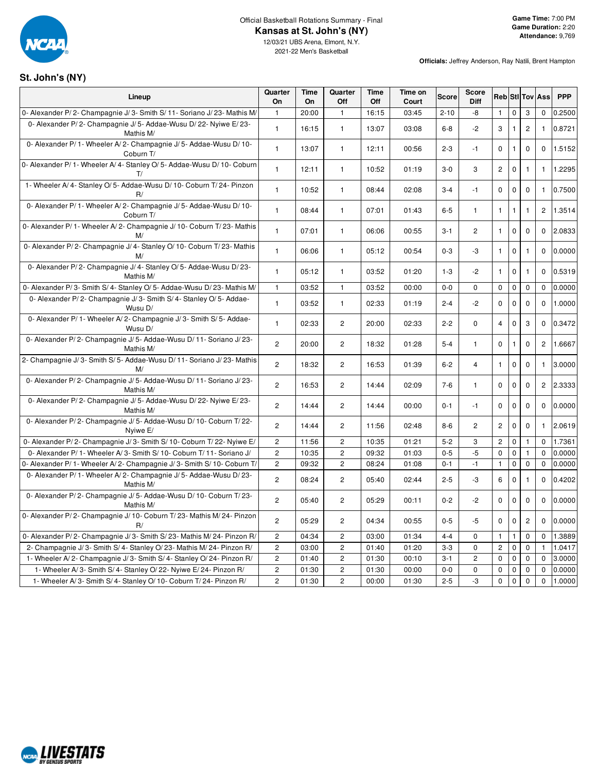

**Officials:** Jeffrey Anderson, Ray Natili, Brent Hampton

### **St. John's (NY)**

 $\mathsf{r}$ 

| Lineup                                                                              | Quarter<br>On  | Time<br>On | Quarter<br>Off | Time<br>Off | Time on<br>Court | <b>Score</b> | <b>Score</b><br>Diff  |                |              |                | <b>Reb</b> Sti Tov Ass | <b>PPP</b> |
|-------------------------------------------------------------------------------------|----------------|------------|----------------|-------------|------------------|--------------|-----------------------|----------------|--------------|----------------|------------------------|------------|
| 0- Alexander P/2- Champagnie J/3- Smith S/11- Soriano J/23- Mathis M/               | $\mathbf{1}$   | 20:00      | $\mathbf{1}$   | 16:15       | 03:45            | $2 - 10$     | -8                    | $\mathbf{1}$   | $\Omega$     | 3              | 0                      | 0.2500     |
| 0- Alexander P/2- Champagnie J/5- Addae-Wusu D/22- Nyiwe E/23-<br>Mathis M/         | $\mathbf{1}$   | 16:15      | $\mathbf{1}$   | 13:07       | 03:08            | $6 - 8$      | $-2$                  | 3              | $\mathbf{1}$ | $\mathbf{2}$   | $\mathbf{1}$           | 0.8721     |
| 0- Alexander P/ 1- Wheeler A/ 2- Champagnie J/ 5- Addae-Wusu D/ 10-<br>Coburn T/    | $\mathbf{1}$   | 13:07      | $\mathbf{1}$   | 12:11       | 00:56            | $2 - 3$      | $-1$                  | $\mathbf 0$    | $\mathbf{1}$ | $\mathbf 0$    | $\mathbf 0$            | 1.5152     |
| 0- Alexander P/ 1- Wheeler A/ 4- Stanley O/ 5- Addae-Wusu D/ 10- Coburn<br>T/       | $\mathbf{1}$   | 12:11      | $\mathbf{1}$   | 10:52       | 01:19            | $3-0$        | 3                     | $\overline{c}$ | $\mathbf 0$  | $\mathbf{1}$   | $\mathbf{1}$           | 1.2295     |
| 1- Wheeler A/4- Stanley O/5- Addae-Wusu D/10- Coburn T/24- Pinzon<br>R/             | $\mathbf{1}$   | 10:52      | $\mathbf{1}$   | 08:44       | 02:08            | $3 - 4$      | $-1$                  | $\mathbf 0$    | $\mathbf 0$  | $\mathbf 0$    | $\mathbf{1}$           | 0.7500     |
| 0- Alexander P/ 1- Wheeler A/ 2- Champagnie J/ 5- Addae-Wusu D/ 10-<br>Coburn T/    | $\mathbf{1}$   | 08:44      | $\mathbf{1}$   | 07:01       | 01:43            | $6-5$        | $\mathbf{1}$          | $\mathbf{1}$   | $\mathbf{1}$ | $\mathbf{1}$   | $\overline{2}$         | 1.3514     |
| 0- Alexander P/1- Wheeler A/2- Champagnie J/10- Coburn T/23- Mathis<br>M/           | $\mathbf{1}$   | 07:01      | $\mathbf{1}$   | 06:06       | 00:55            | $3 - 1$      | $\overline{2}$        | $\mathbf{1}$   | $\mathbf 0$  | $\mathbf 0$    | $\Omega$               | 2.0833     |
| 0- Alexander P/2- Champagnie J/4- Stanley O/10- Coburn T/23- Mathis<br>M/           | $\mathbf{1}$   | 06:06      | $\mathbf{1}$   | 05:12       | 00:54            | $0 - 3$      | -3                    | $\mathbf{1}$   | $\mathbf 0$  | $\mathbf{1}$   | $\mathbf 0$            | 0.0000     |
| 0- Alexander P/2- Champagnie J/4- Stanley O/5- Addae-Wusu D/23-<br>Mathis M/        | $\mathbf{1}$   | 05:12      | $\mathbf{1}$   | 03:52       | 01:20            | $1 - 3$      | $-2$                  | $\mathbf{1}$   | $\mathbf 0$  | $\mathbf{1}$   | $\Omega$               | 0.5319     |
| 0- Alexander P/3- Smith S/4- Stanley O/5- Addae-Wusu D/23- Mathis M/                | $\mathbf{1}$   | 03:52      | $\mathbf{1}$   | 03:52       | 00:00            | $0-0$        | $\Omega$              | $\mathbf 0$    | $\mathbf 0$  | $\pmb{0}$      | $\Omega$               | 0.0000     |
| 0- Alexander P/2- Champagnie J/3- Smith S/4- Stanley O/5- Addae-<br>Wusu D/         | $\mathbf{1}$   | 03:52      | $\mathbf{1}$   | 02:33       | 01:19            | $2 - 4$      | $-2$                  | 0              | $\pmb{0}$    | $\mathbf 0$    | $\mathbf 0$            | 1.0000     |
| 0- Alexander P/ 1 - Wheeler A/ 2 - Champagnie J/ 3 - Smith S/ 5 - Addae-<br>Wusu D/ | $\mathbf{1}$   | 02:33      | $\overline{2}$ | 20:00       | 02:33            | $2 - 2$      | $\mathbf 0$           | $\overline{4}$ | $\mathbf 0$  | 3              | $\mathbf{0}$           | 0.3472     |
| 0- Alexander P/2- Champagnie J/5- Addae-Wusu D/11- Soriano J/23-<br>Mathis M/       | $\overline{2}$ | 20:00      | $\overline{2}$ | 18:32       | 01:28            | $5 - 4$      | $\mathbf{1}$          | $\mathbf 0$    | $\mathbf{1}$ | $\mathbf 0$    | $\overline{2}$         | 1.6667     |
| 2- Champagnie J/3- Smith S/5- Addae-Wusu D/11- Soriano J/23- Mathis<br>M/           | $\overline{c}$ | 18:32      | $\overline{2}$ | 16:53       | 01:39            | $6 - 2$      | $\overline{4}$        | $\mathbf{1}$   | $\mathbf 0$  | $\mathbf 0$    | $\mathbf{1}$           | 3.0000     |
| 0- Alexander P/2- Champagnie J/5- Addae-Wusu D/11- Soriano J/23-<br>Mathis M/       | $\overline{2}$ | 16:53      | $\overline{2}$ | 14:44       | 02:09            | $7-6$        | $\mathbf{1}$          | $\mathbf 0$    | $\mathbf 0$  | $\mathbf 0$    | $\overline{2}$         | 2.3333     |
| 0- Alexander P/2- Champagnie J/5- Addae-Wusu D/22- Nyiwe E/23-<br>Mathis M/         | $\overline{2}$ | 14:44      | $\overline{2}$ | 14:44       | 00:00            | $0 - 1$      | $-1$                  | $\mathbf 0$    | $\mathbf 0$  | $\mathbf 0$    | $\Omega$               | 0.0000     |
| 0- Alexander P/2- Champagnie J/5- Addae-Wusu D/10- Coburn T/22-<br>Nyiwe E/         | $\overline{2}$ | 14:44      | $\overline{2}$ | 11:56       | 02:48            | $8-6$        | $\mathbf{2}^{\prime}$ | $\overline{c}$ | $\mathbf 0$  | $\mathbf 0$    | $\mathbf{1}$           | 2.0619     |
| 0- Alexander P/2- Champagnie J/3- Smith S/10- Coburn T/22- Nyiwe E/                 | $\overline{c}$ | 11:56      | $\overline{2}$ | 10:35       | 01:21            | $5 - 2$      | 3                     | $\overline{c}$ | $\pmb{0}$    | $\mathbf{1}$   | $\Omega$               | 1.7361     |
| 0- Alexander P/ 1- Wheeler A/ 3- Smith S/ 10- Coburn T/ 11- Soriano J/              | $\overline{c}$ | 10:35      | $\overline{c}$ | 09:32       | 01:03            | $0 - 5$      | $-5$                  | $\mathbf 0$    | $\mathbf 0$  | $\mathbf{1}$   | $\Omega$               | 0.0000     |
| 0- Alexander P/ 1- Wheeler A/ 2- Champagnie J/ 3- Smith S/ 10- Coburn T/            | $\mathbf{2}$   | 09:32      | $\overline{2}$ | 08:24       | 01:08            | $0 - 1$      | $-1$                  | $\mathbf{1}$   | 0            | $\pmb{0}$      | $\mathbf 0$            | 0.0000     |
| 0- Alexander P/ 1- Wheeler A/ 2- Champagnie J/ 5- Addae-Wusu D/ 23-<br>Mathis M/    | $\mathbf{2}$   | 08:24      | $\overline{c}$ | 05:40       | 02:44            | $2 - 5$      | -3                    | 6              | $\pmb{0}$    | 1              | $\Omega$               | 0.4202     |
| 0- Alexander P/2- Champagnie J/5- Addae-Wusu D/10- Coburn T/23-<br>Mathis M/        | $\mathbf{2}$   | 05:40      | $\overline{2}$ | 05:29       | 00:11            | $0 - 2$      | $-2$                  | $\mathbf 0$    | $\pmb{0}$    | $\pmb{0}$      | $\Omega$               | 0.0000     |
| 0- Alexander P/2- Champagnie J/10- Coburn T/23- Mathis M/24- Pinzon<br>R/           | $\mathbf{2}$   | 05:29      | $\overline{c}$ | 04:34       | 00:55            | $0-5$        | -5                    | 0              | 0            | $\overline{c}$ | $\Omega$               | 0.0000     |
| 0- Alexander P/2- Champagnie J/3- Smith S/23- Mathis M/24- Pinzon R/                | $\overline{c}$ | 04:34      | $\overline{2}$ | 03:00       | 01:34            | $4 - 4$      | 0                     | $\mathbf{1}$   | $\mathbf{1}$ | $\mathbf 0$    | $\mathbf 0$            | 1.3889     |
| 2- Champagnie J/3- Smith S/4- Stanley O/23- Mathis M/24- Pinzon R/                  | $\mathbf{2}$   | 03:00      | $\mathbf{2}$   | 01:40       | 01:20            | $3-3$        | 0                     | $\overline{c}$ | $\pmb{0}$    | $\mathbf 0$    | $\mathbf{1}$           | 1.0417     |
| 1- Wheeler A/2- Champagnie J/3- Smith S/4- Stanley O/24- Pinzon R/                  | $\overline{c}$ | 01:40      | $\overline{c}$ | 01:30       | 00:10            | $3 - 1$      | $\overline{c}$        | 0              | $\pmb{0}$    | $\pmb{0}$      | $\Omega$               | 3.0000     |
| 1- Wheeler A/3- Smith S/4- Stanley O/22- Nyiwe E/24- Pinzon R/                      | $\overline{c}$ | 01:30      | $\overline{2}$ | 01:30       | 00:00            | $0-0$        | $\mathbf 0$           | $\mathbf 0$    | $\mathbf 0$  | $\mathbf 0$    | $\mathbf 0$            | 0.0000     |
| 1- Wheeler A/3- Smith S/4- Stanley O/10- Coburn T/24- Pinzon R/                     | $\overline{2}$ | 01:30      | $\overline{2}$ | 00:00       | 01:30            | $2 - 5$      | $-3$                  | $\mathbf 0$    | $\mathbf 0$  | $\mathbf 0$    | $\mathbf 0$            | 1.0000     |

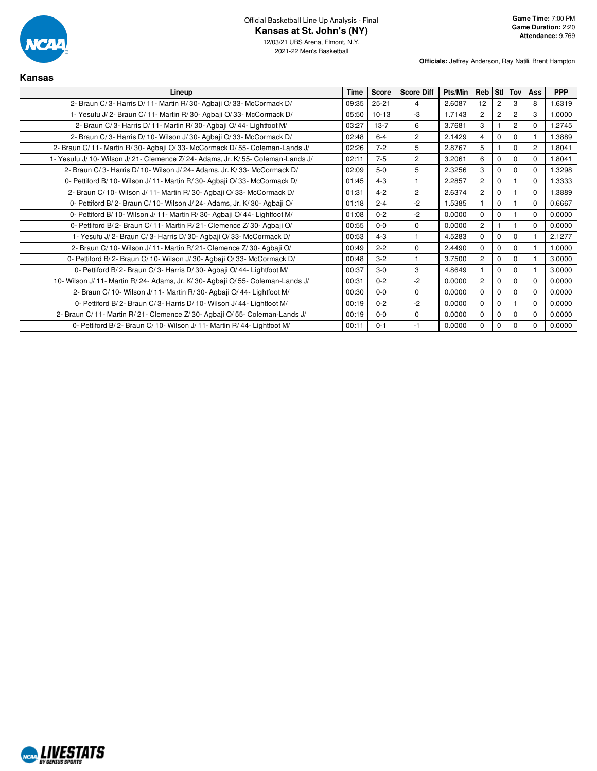

**Officials:** Jeffrey Anderson, Ray Natili, Brent Hampton

| Kansas                                                                            |             |           |                   |         |                |                |                |          |            |
|-----------------------------------------------------------------------------------|-------------|-----------|-------------------|---------|----------------|----------------|----------------|----------|------------|
| Lineup                                                                            | <b>Time</b> | Score     | <b>Score Diff</b> | Pts/Min | Reb            |                | Sti Tov        | Ass      | <b>PPP</b> |
| 2- Braun C/3- Harris D/11- Martin R/30- Agbaji O/33- McCormack D/                 | 09:35       | $25 - 21$ | 4                 | 2.6087  | 12             | 2              | 3              | 8        | 1.6319     |
| 1- Yesufu J/2- Braun C/11- Martin R/30- Agbaji O/33- McCormack D/                 | 05:50       | $10 - 13$ | -3                | 1.7143  | $\overline{2}$ | $\overline{2}$ | $\overline{c}$ | 3        | 1.0000     |
| 2- Braun C/3- Harris D/11- Martin R/30- Agbaji O/44- Lightfoot M/                 | 03:27       | $13 - 7$  | 6                 | 3.7681  | 3              |                | $\overline{2}$ | 0        | 1.2745     |
| 2- Braun C/3- Harris D/10- Wilson J/30- Agbaji O/33- McCormack D/                 | 02:48       | $6 - 4$   | $\overline{2}$    | 2.1429  | 4              | $\mathbf 0$    | $\mathbf 0$    |          | 1.3889     |
| 2- Braun C/11- Martin R/30- Agbaji O/33- McCormack D/55- Coleman-Lands J/         | 02:26       | $7 - 2$   | 5                 | 2.8767  | 5              |                | $\Omega$       | 2        | 1.8041     |
| 1- Yesufu J/ 10- Wilson J/ 21- Clemence Z/ 24- Adams, Jr. K/ 55- Coleman-Lands J/ | 02:11       | $7 - 5$   | $\overline{c}$    | 3.2061  | 6              | $\Omega$       | $\Omega$       | $\Omega$ | 1.8041     |
| 2- Braun C/3- Harris D/10- Wilson J/24- Adams, Jr. K/33- McCormack D/             | 02:09       | $5-0$     | 5                 | 2.3256  | 3              | $\mathbf 0$    | $\mathbf 0$    | $\Omega$ | 1.3298     |
| 0- Pettiford B/10- Wilson J/11- Martin R/30- Agbaji O/33- McCormack D/            | 01:45       | $4 - 3$   |                   | 2.2857  | $\overline{2}$ | $\Omega$       |                | $\Omega$ | 1.3333     |
| 2- Braun C/ 10- Wilson J/ 11- Martin R/ 30- Agbaji O/ 33- McCormack D/            | 01:31       | $4 - 2$   | $\overline{c}$    | 2.6374  | $\mathbf{2}$   | $\mathbf 0$    | 1              | $\Omega$ | 1.3889     |
| 0- Pettiford B/2- Braun C/10- Wilson J/24- Adams, Jr. K/30- Agbaji O/             | 01:18       | $2 - 4$   | $-2$              | 1.5385  |                | $\Omega$       | 1              | $\Omega$ | 0.6667     |
| 0- Pettiford B/ 10- Wilson J/ 11- Martin R/ 30- Agbaii O/ 44- Lightfoot M/        | 01:08       | $0 - 2$   | $-2$              | 0.0000  | $\Omega$       | $\Omega$       | $\overline{1}$ | $\Omega$ | 0.0000     |
| 0- Pettiford B/2- Braun C/11- Martin R/21- Clemence Z/30- Agbaji O/               | 00:55       | $0 - 0$   | $\mathbf 0$       | 0.0000  | $\overline{2}$ |                | 1              | $\Omega$ | 0.0000     |
| 1- Yesufu J/2- Braun C/3- Harris D/30- Agbaji O/33- McCormack D/                  | 00:53       | $4 - 3$   |                   | 4.5283  | $\Omega$       | $\Omega$       | $\mathbf 0$    |          | 2.1277     |
| 2- Braun C/ 10- Wilson J/ 11- Martin R/ 21- Clemence Z/ 30- Agbaji O/             | 00:49       | $2 - 2$   | $\Omega$          | 2.4490  | $\Omega$       | $\Omega$       | $\Omega$       |          | 1.0000     |
| 0- Pettiford B/2- Braun C/10- Wilson J/30- Agbaji O/33- McCormack D/              | 00:48       | $3 - 2$   | $\mathbf{1}$      | 3.7500  | $\overline{2}$ | $\mathbf 0$    | $\Omega$       |          | 3.0000     |
| 0- Pettiford B/2- Braun C/3- Harris D/30- Agbaii O/44- Lightfoot M/               | 00:37       | $3 - 0$   | 3                 | 4.8649  |                | $\mathbf 0$    | $\mathbf 0$    |          | 3.0000     |
| 10- Wilson J/ 11- Martin R/ 24- Adams, Jr. K/ 30- Agbaji O/ 55- Coleman-Lands J/  | 00:31       | $0 - 2$   | $-2$              | 0.0000  | $\overline{c}$ | $\Omega$       | $\mathbf 0$    | $\Omega$ | 0.0000     |
| 2- Braun C/ 10- Wilson J/ 11- Martin R/ 30- Agbaji O/ 44- Lightfoot M/            | 00:30       | $0 - 0$   | $\mathbf 0$       | 0.0000  | $\Omega$       | $\Omega$       | $\mathbf 0$    | $\Omega$ | 0.0000     |
| 0- Pettiford B/2- Braun C/3- Harris D/10- Wilson J/44- Lightfoot M/               | 00:19       | $0 - 2$   | $-2$              | 0.0000  | $\mathbf 0$    | $\Omega$       | 1              | $\Omega$ | 0.0000     |
| 2- Braun C/11- Martin R/21- Clemence Z/30- Agbaji O/55- Coleman-Lands J/          | 00:19       | $0 - 0$   | $\mathbf 0$       | 0.0000  | $\mathbf 0$    | $\mathbf 0$    | $\mathbf 0$    | $\Omega$ | 0.0000     |
| 0- Pettiford B/2- Braun C/10- Wilson J/11- Martin R/44- Lightfoot M/              | 00:11       | $0 - 1$   | $-1$              | 0.0000  | $\Omega$       | $\mathbf 0$    | $\Omega$       | 0        | 0.0000     |